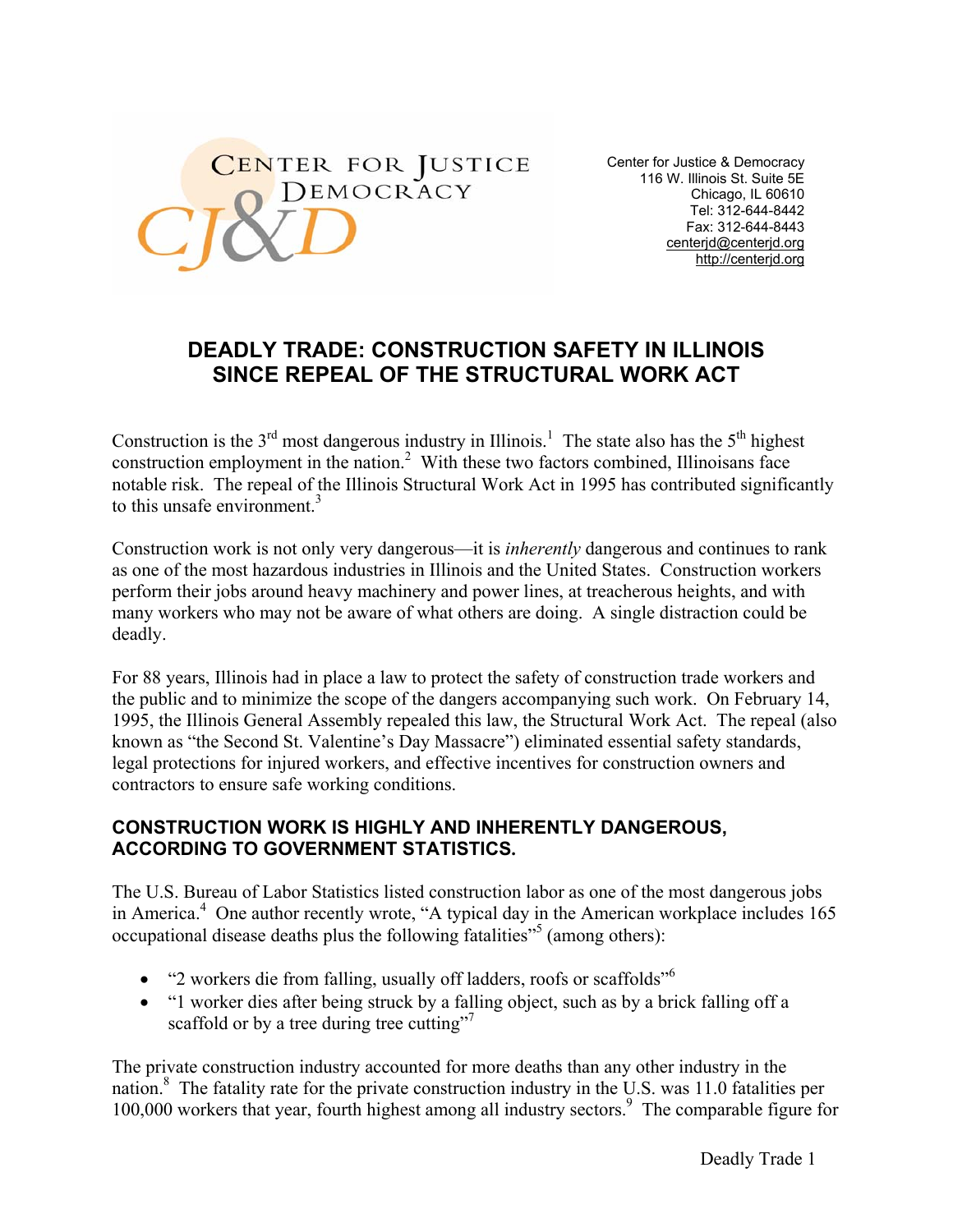

Center for Justice & Democracy 116 W. Illinois St. Suite 5E Chicago, IL 60610 Tel: 312-644-8442 Fax: 312-644-8443 centerjd@centerjd.org http://centerjd.org

# **DEADLY TRADE: CONSTRUCTION SAFETY IN ILLINOIS SINCE REPEAL OF THE STRUCTURAL WORK ACT**

Construction is the  $3<sup>rd</sup>$  most dangerous industry in Illinois.<sup>1</sup> The state also has the  $5<sup>th</sup>$  highest construction employment in the nation.<sup>2</sup> With these two factors combined, Illinoisans face notable risk. The repeal of the Illinois Structural Work Act in 1995 has contributed significantly to this unsafe environment. 3

Construction work is not only very dangerous—it is *inherently* dangerous and continues to rank as one of the most hazardous industries in Illinois and the United States. Construction workers perform their jobs around heavy machinery and power lines, at treacherous heights, and with many workers who may not be aware of what others are doing. A single distraction could be deadly.

For 88 years, Illinois had in place a law to protect the safety of construction trade workers and the public and to minimize the scope of the dangers accompanying such work. On February 14, 1995, the Illinois General Assembly repealed this law, the Structural Work Act. The repeal (also known as "the Second St. Valentine's Day Massacre") eliminated essential safety standards, legal protections for injured workers, and effective incentives for construction owners and contractors to ensure safe working conditions.

### **CONSTRUCTION WORK IS HIGHLY AND INHERENTLY DANGEROUS, ACCORDING TO GOVERNMENT STATISTICS.**

The U.S. Bureau of Labor Statistics listed construction labor as one of the most dangerous jobs in America. <sup>4</sup> One author recently wrote, "A typical day in the American workplace includes 165 occupational disease deaths plus the following fatalities<sup>"5</sup> (among others):

- $\bullet$  "2 workers die from falling, usually off ladders, roofs or scaffolds"<sup>6</sup>
- "1 worker dies after being struck by a falling object, such as by a brick falling off a scaffold or by a tree during tree cutting"<sup>7</sup>

The private construction industry accounted for more deaths than any other industry in the nation. <sup>8</sup> The fatality rate for the private construction industry in the U.S. was 11.0 fatalities per 100,000 workers that year, fourth highest among all industry sectors. 9 The comparable figure for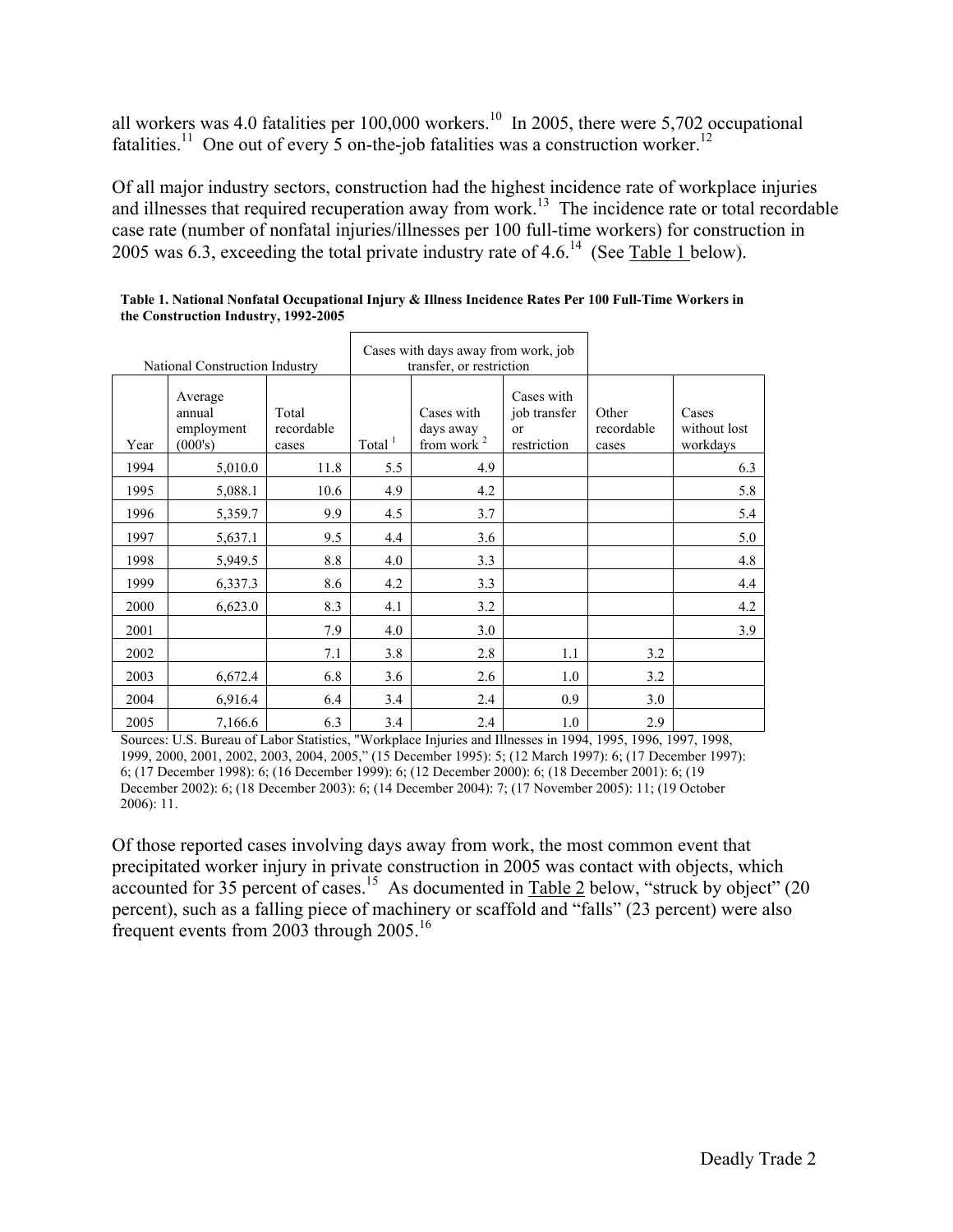all workers was 4.0 fatalities per  $100,000$  workers.<sup>10</sup> In 2005, there were 5,702 occupational fatalities.<sup>11</sup> One out of every 5 on-the-job fatalities was a construction worker.<sup>12</sup>

Of all major industry sectors, construction had the highest incidence rate of workplace injuries and illnesses that required recuperation away from work.<sup>13</sup> The incidence rate or total recordable case rate (number of nonfatal injuries/illnesses per 100 full-time workers) for construction in 2005 was 6.3, exceeding the total private industry rate of 4.6.<sup>14</sup> (See Table 1 below).

| National Construction Industry |                                            |                              | Cases with days away from work, job<br>transfer, or restriction |                                          |                                                 |                              |                                   |
|--------------------------------|--------------------------------------------|------------------------------|-----------------------------------------------------------------|------------------------------------------|-------------------------------------------------|------------------------------|-----------------------------------|
| Year                           | Average<br>annual<br>employment<br>(000's) | Total<br>recordable<br>cases | Total $1$                                                       | Cases with<br>days away<br>from work $2$ | Cases with<br>job transfer<br>or<br>restriction | Other<br>recordable<br>cases | Cases<br>without lost<br>workdays |
| 1994                           | 5,010.0                                    | 11.8                         | 5.5                                                             | 4.9                                      |                                                 |                              | 6.3                               |
| 1995                           | 5,088.1                                    | 10.6                         | 4.9                                                             | 4.2                                      |                                                 |                              | 5.8                               |
| 1996                           | 5,359.7                                    | 9.9                          | 4.5                                                             | 3.7                                      |                                                 |                              | 5.4                               |
| 1997                           | 5,637.1                                    | 9.5                          | 4.4                                                             | 3.6                                      |                                                 |                              | 5.0                               |
| 1998                           | 5,949.5                                    | 8.8                          | 4.0                                                             | 3.3                                      |                                                 |                              | 4.8                               |
| 1999                           | 6,337.3                                    | 8.6                          | 4.2                                                             | 3.3                                      |                                                 |                              | 4.4                               |
| 2000                           | 6,623.0                                    | 8.3                          | 4.1                                                             | 3.2                                      |                                                 |                              | 4.2                               |
| 2001                           |                                            | 7.9                          | 4.0                                                             | 3.0                                      |                                                 |                              | 3.9                               |
| 2002                           |                                            | 7.1                          | 3.8                                                             | 2.8                                      | 1.1                                             | 3.2                          |                                   |
| 2003                           | 6,672.4                                    | 6.8                          | 3.6                                                             | 2.6                                      | 1.0                                             | 3.2                          |                                   |
| 2004                           | 6,916.4                                    | 6.4                          | 3.4                                                             | 2.4                                      | 0.9                                             | 3.0                          |                                   |
| 2005                           | 7,166.6                                    | 6.3                          | 3.4                                                             | 2.4                                      | 1.0                                             | 2.9                          |                                   |

**Table 1. National Nonfatal Occupational Injury & Illness Incidence Rates Per 100 Full-Time Workers in the Construction Industry, 1992-2005** 

Sources: U.S. Bureau of Labor Statistics, "Workplace Injuries and Illnesses in 1994, 1995, 1996, 1997, 1998, 1999, 2000, 2001, 2002, 2003, 2004, 2005," (15 December 1995): 5; (12 March 1997): 6; (17 December 1997): 6; (17 December 1998): 6; (16 December 1999): 6; (12 December 2000): 6; (18 December 2001): 6; (19 December 2002): 6; (18 December 2003): 6; (14 December 2004): 7; (17 November 2005): 11; (19 October 2006): 11.

Of those reported cases involving days away from work, the most common event that precipitated worker injury in private construction in 2005 was contact with objects, which accounted for 35 percent of cases.<sup>15</sup> As documented in Table 2 below, "struck by object" (20 percent), such as a falling piece of machinery or scaffold and "falls" (23 percent) were also frequent events from 2003 through  $2005$ .<sup>16</sup>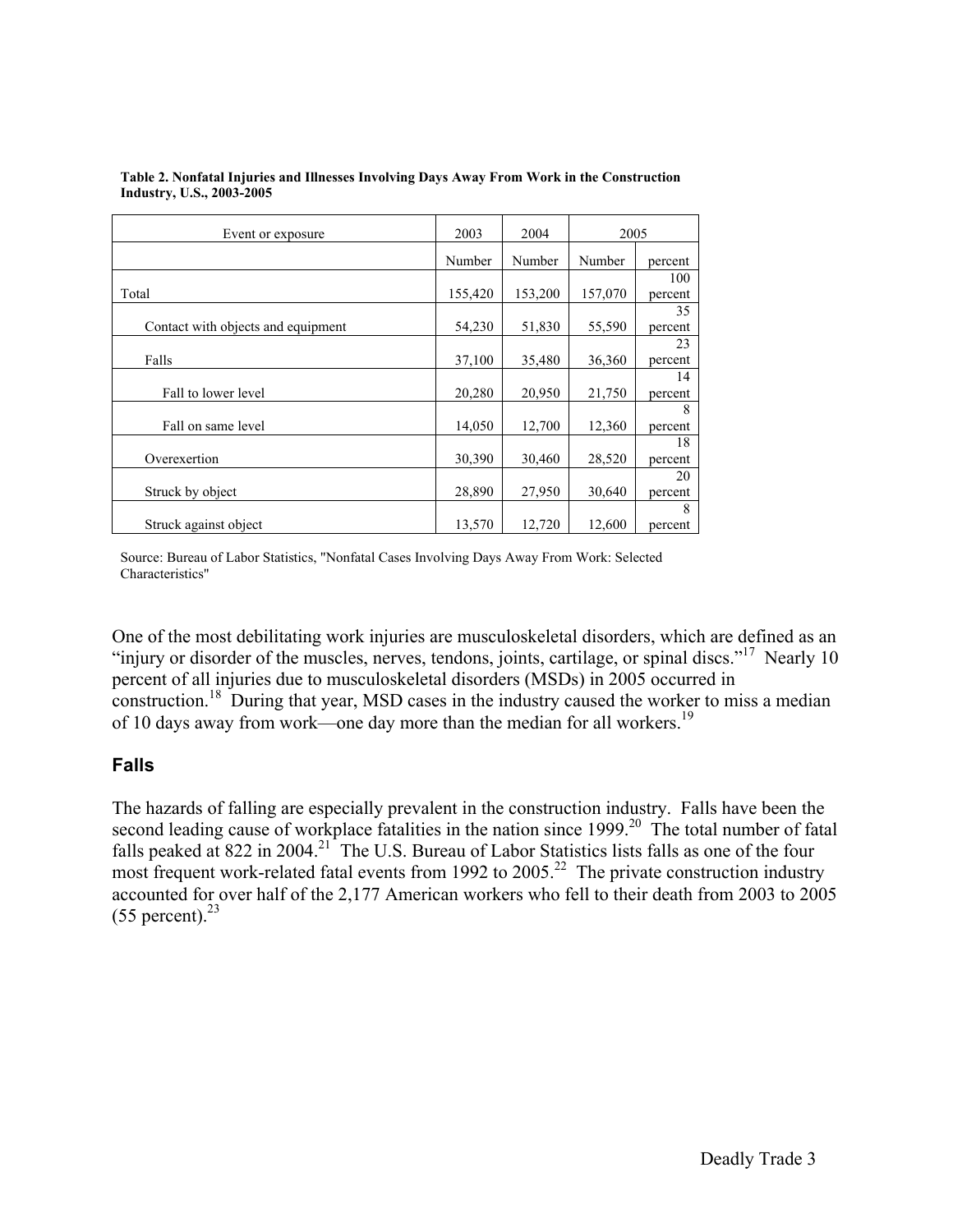| Event or exposure                  | 2003    | 2004    | 2005    |         |
|------------------------------------|---------|---------|---------|---------|
|                                    | Number  | Number  | Number  | percent |
|                                    |         |         |         | 100     |
| Total                              | 155,420 | 153,200 | 157,070 | percent |
|                                    |         |         |         | 35      |
| Contact with objects and equipment | 54,230  | 51,830  | 55,590  | percent |
|                                    |         |         |         | 23      |
| Falls                              | 37,100  | 35,480  | 36,360  | percent |
|                                    |         |         |         | 14      |
| Fall to lower level                | 20,280  | 20,950  | 21,750  | percent |
|                                    |         |         |         | 8       |
| Fall on same level                 | 14,050  | 12,700  | 12,360  | percent |
|                                    |         |         |         | 18      |
| Overexertion                       | 30,390  | 30,460  | 28,520  | percent |
|                                    |         |         |         | 20      |
| Struck by object                   | 28,890  | 27,950  | 30,640  | percent |
|                                    |         |         |         | 8       |
| Struck against object              | 13,570  | 12,720  | 12,600  | percent |

**Table 2. Nonfatal Injuries and Illnesses Involving Days Away From Work in the Construction Industry, U.S., 2003-2005** 

Source: Bureau of Labor Statistics, "Nonfatal Cases Involving Days Away From Work: Selected Characteristics"

One of the most debilitating work injuries are musculoskeletal disorders, which are defined as an "injury or disorder of the muscles, nerves, tendons, joints, cartilage, or spinal discs."<sup>17</sup> Nearly 10 percent of all injuries due to musculoskeletal disorders (MSDs) in 2005 occurred in construction.<sup>18</sup> During that year, MSD cases in the industry caused the worker to miss a median of 10 days away from work—one day more than the median for all workers.<sup>19</sup>

## **Falls**

The hazards of falling are especially prevalent in the construction industry. Falls have been the second leading cause of workplace fatalities in the nation since 1999.<sup>20</sup> The total number of fatal falls peaked at 822 in 2004.<sup>21</sup> The U.S. Bureau of Labor Statistics lists falls as one of the four most frequent work-related fatal events from 1992 to 2005.<sup>22</sup> The private construction industry accounted for over half of the 2,177 American workers who fell to their death from 2003 to 2005  $(55$  percent).<sup>23</sup>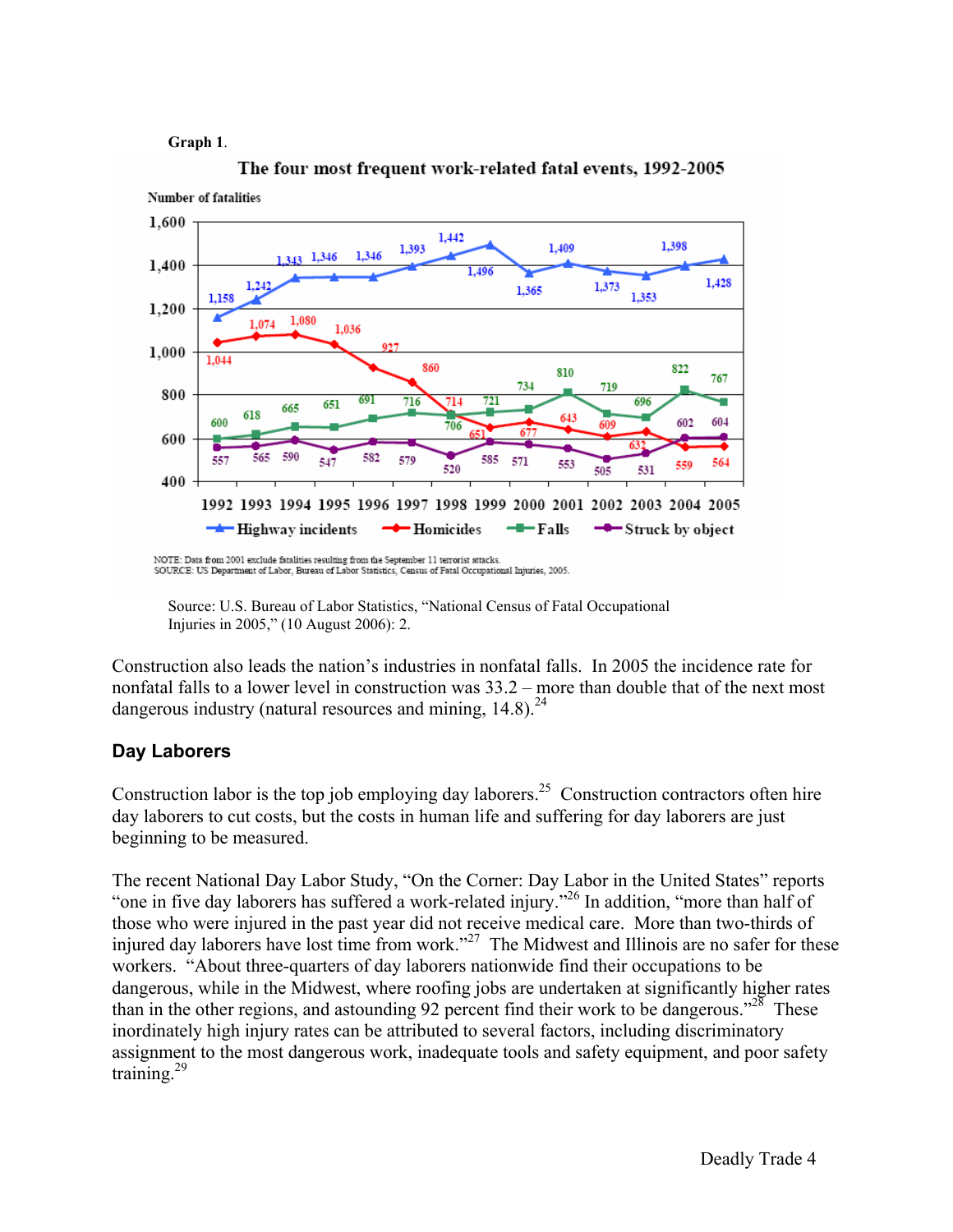#### **Graph 1**.



The four most frequent work-related fatal events, 1992-2005

Source: U.S. Bureau of Labor Statistics, "National Census of Fatal Occupational Injuries in 2005," (10 August 2006): 2.

Construction also leads the nation's industries in nonfatal falls. In 2005 the incidence rate for nonfatal falls to a lower level in construction was 33.2 – more than double that of the next most dangerous industry (natural resources and mining,  $14.8$ ).<sup>24</sup>

#### **Day Laborers**

Construction labor is the top job employing day laborers.<sup>25</sup> Construction contractors often hire day laborers to cut costs, but the costs in human life and suffering for day laborers are just beginning to be measured.

The recent National Day Labor Study, "On the Corner: Day Labor in the United States" reports "one in five day laborers has suffered a work-related injury."<sup>26</sup> In addition, "more than half of those who were injured in the past year did not receive medical care. More than two-thirds of injured day laborers have lost time from work."<sup>27</sup> The Midwest and Illinois are no safer for these workers. "About three-quarters of day laborers nationwide find their occupations to be dangerous, while in the Midwest, where roofing jobs are undertaken at significantly higher rates than in the other regions, and astounding 92 percent find their work to be dangerous."<sup>28</sup> These inordinately high injury rates can be attributed to several factors, including discriminatory assignment to the most dangerous work, inadequate tools and safety equipment, and poor safety training. 29

NOTE: Data from 2001 exclude fatalities resulting from the September 11 terrorist attacks.<br>SOURCE: US Department of Labor, Bureau of Labor Statistics, Census of Fatal Occupational Injuries, 2005.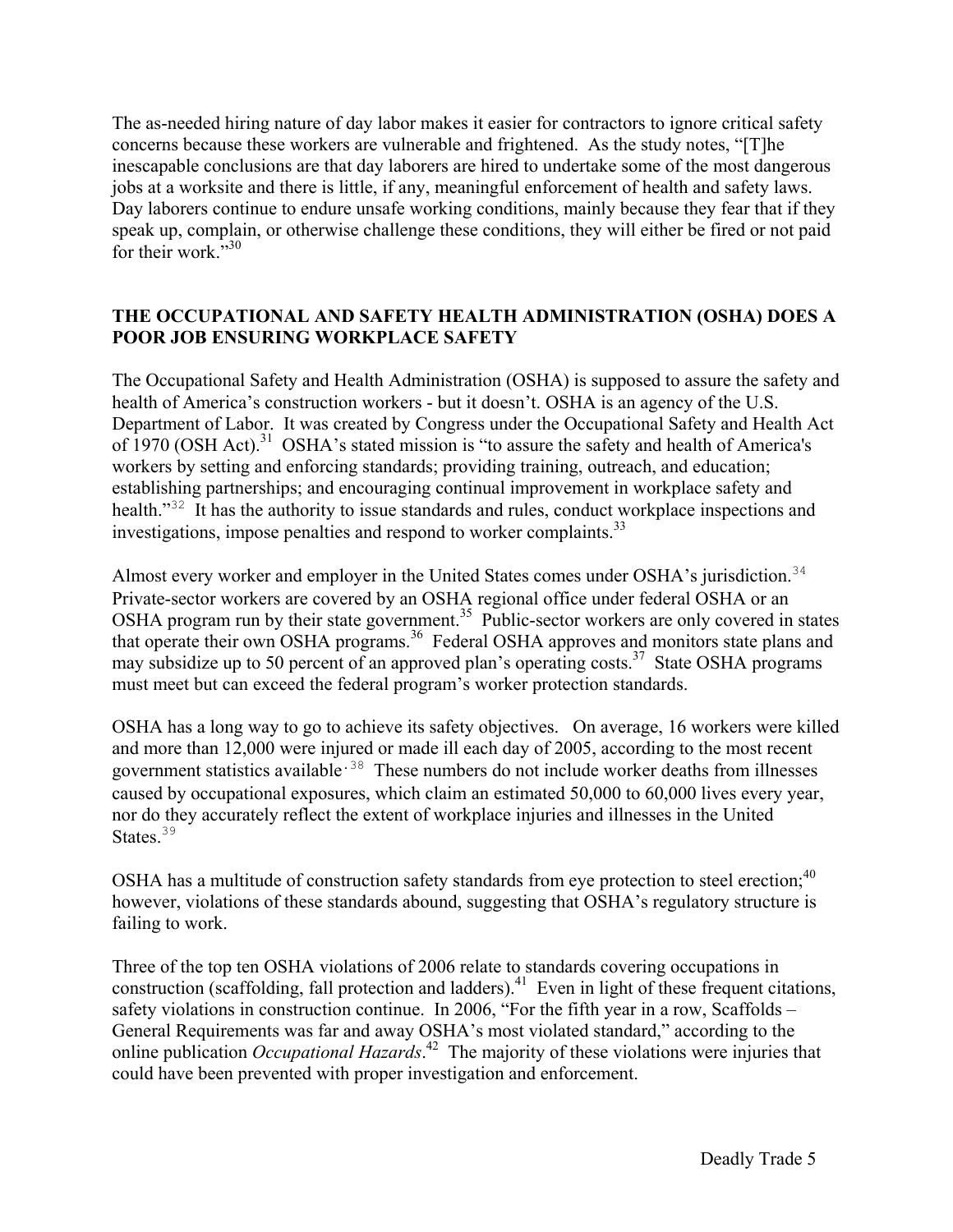The as-needed hiring nature of day labor makes it easier for contractors to ignore critical safety concerns because these workers are vulnerable and frightened. As the study notes, "[T]he inescapable conclusions are that day laborers are hired to undertake some of the most dangerous jobs at a worksite and there is little, if any, meaningful enforcement of health and safety laws. Day laborers continue to endure unsafe working conditions, mainly because they fear that if they speak up, complain, or otherwise challenge these conditions, they will either be fired or not paid for their work<sup>7,30</sup>

### **THE OCCUPATIONAL AND SAFETY HEALTH ADMINISTRATION (OSHA) DOES A POOR JOB ENSURING WORKPLACE SAFETY**

The Occupational Safety and Health Administration (OSHA) is supposed to assure the safety and health of America's construction workers - but it doesn't. OSHA is an agency of the U.S. Department of Labor. It was created by Congress under the Occupational Safety and Health Act of 1970 (OSH Act).<sup>31</sup> OSHA's stated mission is "to assure the safety and health of America's workers by setting and enforcing standards; providing training, outreach, and education; establishing partnerships; and encouraging continual improvement in workplace safety and health."<sup>32</sup> It has the authority to issue standards and rules, conduct workplace inspections and investigations, impose penalties and respond to worker complaints.<sup>33</sup>

Almost every worker and employer in the United States comes under OSHA's jurisdiction.<sup>34</sup> Private-sector workers are covered by an OSHA regional office under federal OSHA or an OSHA program run by their state government.<sup>35</sup> Public-sector workers are only covered in states that operate their own OSHA programs.<sup>36</sup> Federal OSHA approves and monitors state plans and may subsidize up to 50 percent of an approved plan's operating costs.<sup>37</sup> State OSHA programs must meet but can exceed the federal program's worker protection standards.

OSHA has a long way to go to achieve its safety objectives. On average, 16 workers were killed and more than 12,000 were injured or made ill each day of 2005, according to the most recent government statistics available<sup>38</sup> These numbers do not include worker deaths from illnesses caused by occupational exposures, which claim an estimated 50,000 to 60,000 lives every year, nor do they accurately reflect the extent of workplace injuries and illnesses in the United States.<sup>39</sup>

OSHA has a multitude of construction safety standards from eye protection to steel erection;  $40$ however, violations of these standards abound, suggesting that OSHA's regulatory structure is failing to work.

Three of the top ten OSHA violations of 2006 relate to standards covering occupations in construction (scaffolding, fall protection and ladders).<sup>41</sup> Even in light of these frequent citations, safety violations in construction continue. In 2006, "For the fifth year in a row, Scaffolds – General Requirements was far and away OSHA's most violated standard," according to the online publication *Occupational Hazards*. 42 The majority of these violations were injuries that could have been prevented with proper investigation and enforcement.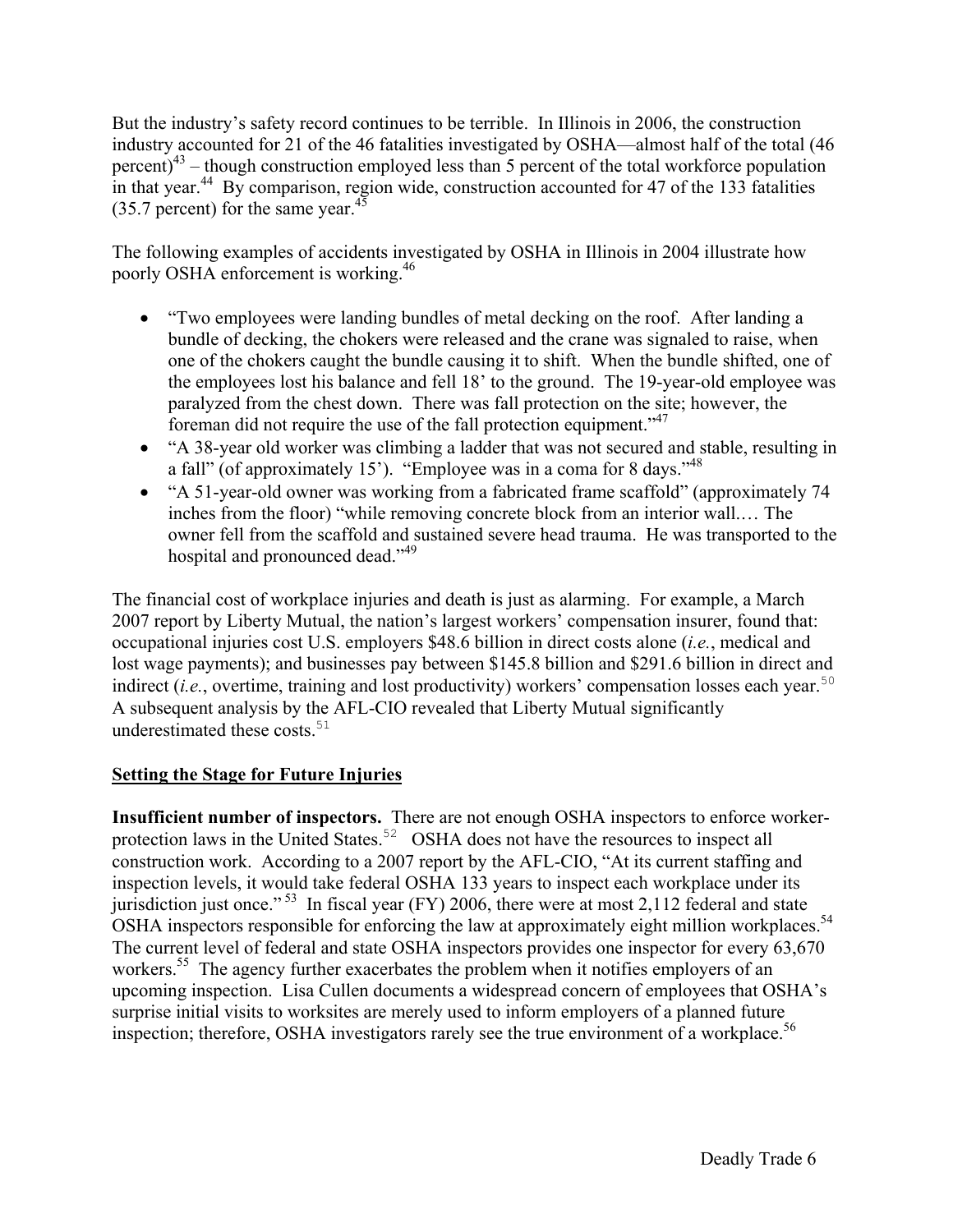But the industry's safety record continues to be terrible. In Illinois in 2006, the construction industry accounted for 21 of the 46 fatalities investigated by OSHA—almost half of the total (46 percent) $43$  – though construction employed less than 5 percent of the total workforce population in that year.<sup>44</sup> By comparison, region wide, construction accounted for 47 of the 133 fatalities (35.7 percent) for the same year.45

The following examples of accidents investigated by OSHA in Illinois in 2004 illustrate how poorly OSHA enforcement is working.<sup>46</sup>

- "Two employees were landing bundles of metal decking on the roof. After landing a bundle of decking, the chokers were released and the crane was signaled to raise, when one of the chokers caught the bundle causing it to shift. When the bundle shifted, one of the employees lost his balance and fell 18' to the ground. The 19-year-old employee was paralyzed from the chest down. There was fall protection on the site; however, the foreman did not require the use of the fall protection equipment."<sup>47</sup>
- "A 38-year old worker was climbing a ladder that was not secured and stable, resulting in a fall" (of approximately 15'). "Employee was in a coma for 8 days." $48$
- "A 51-year-old owner was working from a fabricated frame scaffold" (approximately 74 inches from the floor) "while removing concrete block from an interior wall.… The owner fell from the scaffold and sustained severe head trauma. He was transported to the hospital and pronounced dead."<sup>49</sup>

The financial cost of workplace injuries and death is just as alarming. For example, a March 2007 report by Liberty Mutual, the nation's largest workers' compensation insurer, found that: occupational injuries cost U.S. employers \$48.6 billion in direct costs alone (*i.e.*, medical and lost wage payments); and businesses pay between \$145.8 billion and \$291.6 billion in direct and indirect (*i.e.*, overtime, training and lost productivity) workers' compensation losses each year.<sup>50</sup> A subsequent analysis by the AFL-CIO revealed that Liberty Mutual significantly underestimated these costs. 51

## **Setting the Stage for Future Injuries**

**Insufficient number of inspectors.** There are not enough OSHA inspectors to enforce workerprotection laws in the United States.<sup>52</sup> OSHA does not have the resources to inspect all construction work. According to a 2007 report by the AFL-CIO, "At its current staffing and inspection levels, it would take federal OSHA 133 years to inspect each workplace under its jurisdiction just once."<sup>53</sup> In fiscal year (FY) 2006, there were at most 2,112 federal and state OSHA inspectors responsible for enforcing the law at approximately eight million workplaces.<sup>54</sup> The current level of federal and state OSHA inspectors provides one inspector for every 63,670 workers.<sup>55</sup> The agency further exacerbates the problem when it notifies employers of an upcoming inspection. Lisa Cullen documents a widespread concern of employees that OSHA's surprise initial visits to worksites are merely used to inform employers of a planned future inspection; therefore, OSHA investigators rarely see the true environment of a workplace.<sup>56</sup>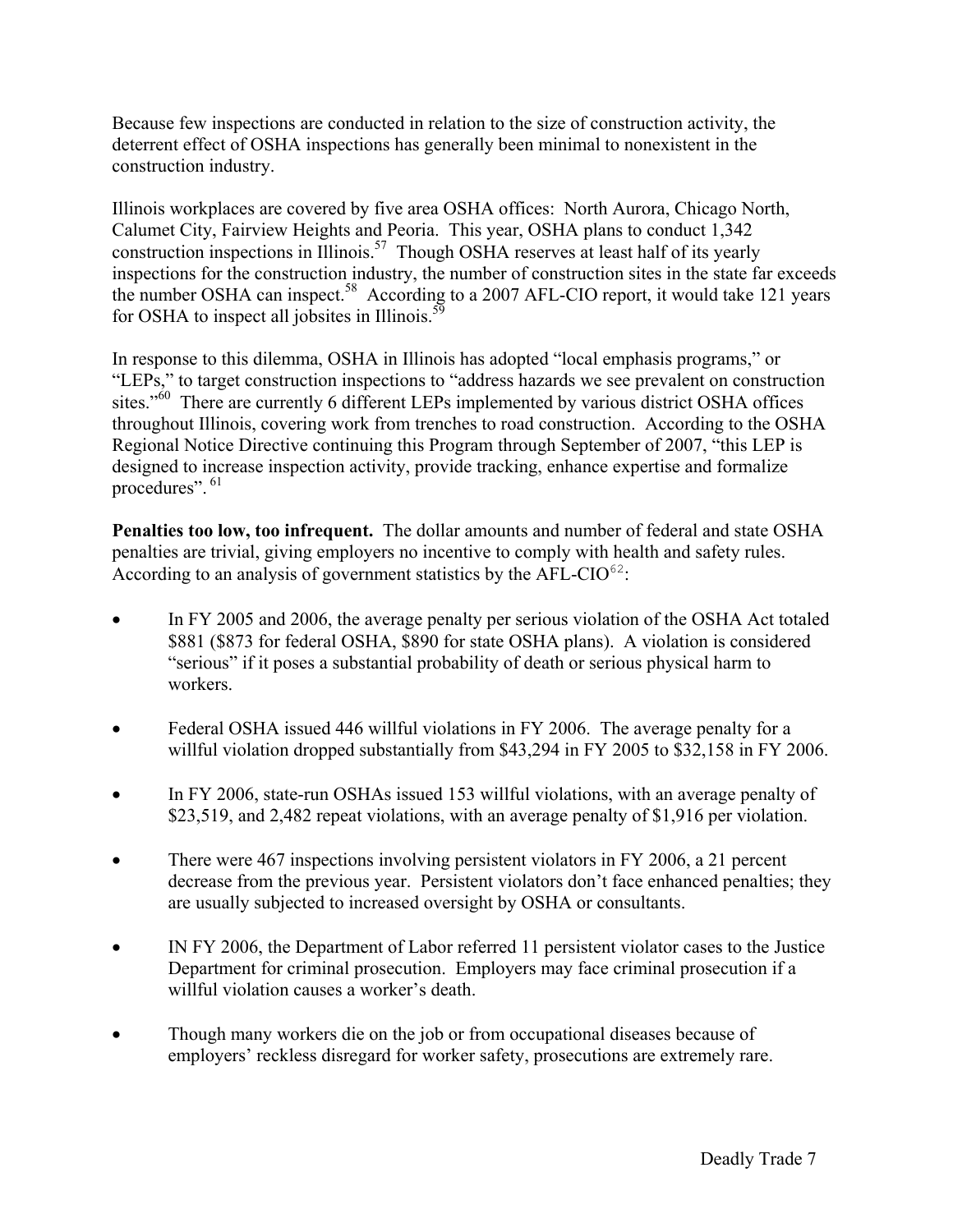Because few inspections are conducted in relation to the size of construction activity, the deterrent effect of OSHA inspections has generally been minimal to nonexistent in the construction industry.

Illinois workplaces are covered by five area OSHA offices: North Aurora, Chicago North, Calumet City, Fairview Heights and Peoria. This year, OSHA plans to conduct 1,342 construction inspections in Illinois. 57 Though OSHA reserves at least half of its yearly inspections for the construction industry, the number of construction sites in the state far exceeds the number OSHA can inspect.<sup>58</sup> According to a 2007 AFL-CIO report, it would take 121 years for OSHA to inspect all jobsites in Illinois.<sup>59</sup>

In response to this dilemma, OSHA in Illinois has adopted "local emphasis programs," or "LEPs," to target construction inspections to "address hazards we see prevalent on construction sites."<sup>60</sup> There are currently 6 different LEPs implemented by various district OSHA offices throughout Illinois, covering work from trenches to road construction. According to the OSHA Regional Notice Directive continuing this Program through September of 2007, "this LEP is designed to increase inspection activity, provide tracking, enhance expertise and formalize procedures". 61

**Penalties too low, too infrequent.** The dollar amounts and number of federal and state OSHA penalties are trivial, giving employers no incentive to comply with health and safety rules. According to an analysis of government statistics by the AFL-CIO $62$ .

- In FY 2005 and 2006, the average penalty per serious violation of the OSHA Act totaled \$881 (\$873 for federal OSHA, \$890 for state OSHA plans). A violation is considered "serious" if it poses a substantial probability of death or serious physical harm to workers.
- ! Federal OSHA issued 446 willful violations in FY 2006. The average penalty for a willful violation dropped substantially from \$43,294 in FY 2005 to \$32,158 in FY 2006.
- ! In FY 2006, state-run OSHAs issued 153 willful violations, with an average penalty of \$23,519, and 2,482 repeat violations, with an average penalty of \$1,916 per violation.
- ! There were 467 inspections involving persistent violators in FY 2006, a 21 percent decrease from the previous year. Persistent violators don't face enhanced penalties; they are usually subjected to increased oversight by OSHA or consultants.
- IN FY 2006, the Department of Labor referred 11 persistent violator cases to the Justice Department for criminal prosecution. Employers may face criminal prosecution if a willful violation causes a worker's death.
- Though many workers die on the job or from occupational diseases because of employers' reckless disregard for worker safety, prosecutions are extremely rare.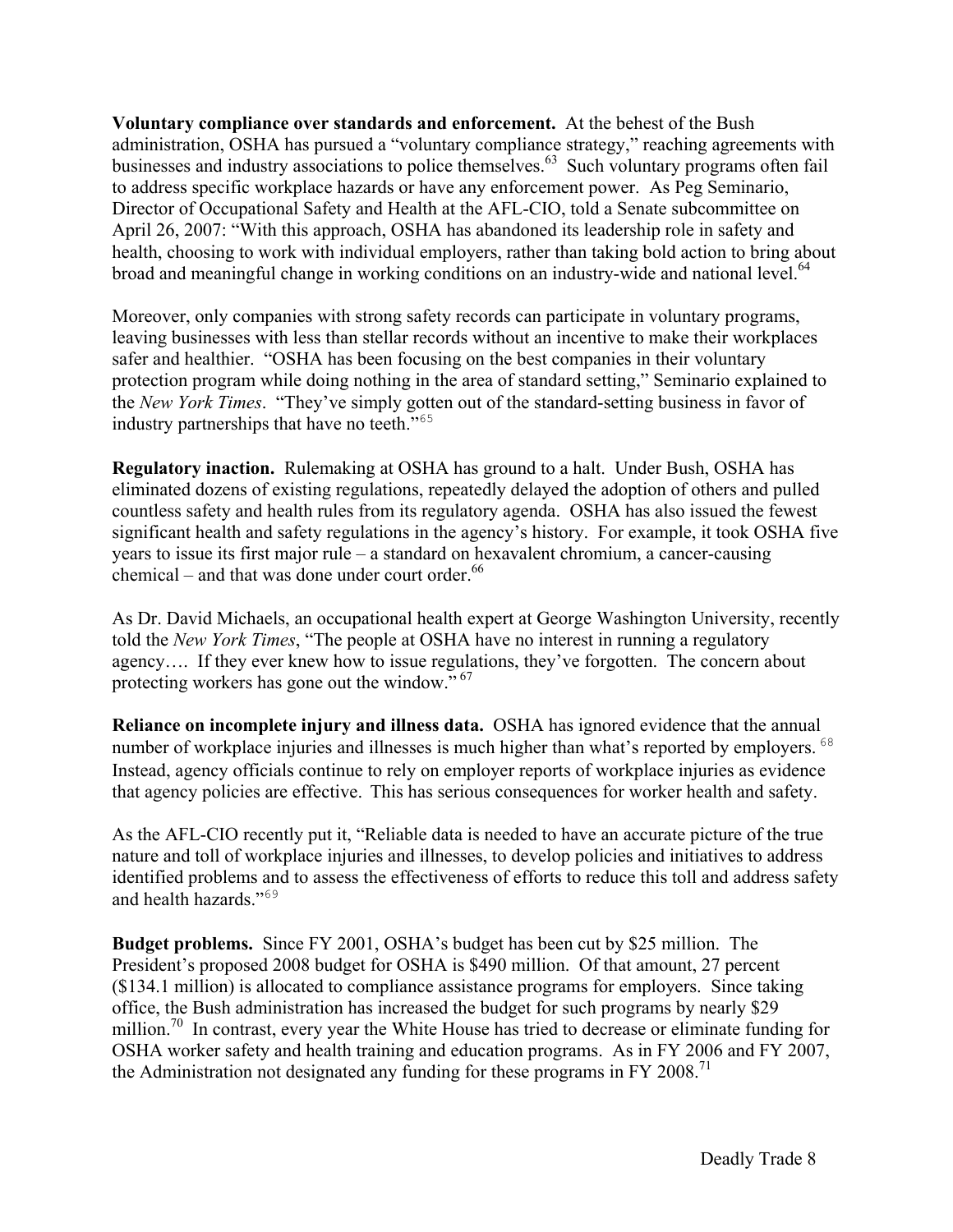**Voluntary compliance over standards and enforcement.** At the behest of the Bush administration, OSHA has pursued a "voluntary compliance strategy," reaching agreements with businesses and industry associations to police themselves.<sup>63</sup> Such voluntary programs often fail to address specific workplace hazards or have any enforcement power. As Peg Seminario, Director of Occupational Safety and Health at the AFL-CIO, told a Senate subcommittee on April 26, 2007: "With this approach, OSHA has abandoned its leadership role in safety and health, choosing to work with individual employers, rather than taking bold action to bring about broad and meaningful change in working conditions on an industry-wide and national level.<sup>64</sup>

Moreover, only companies with strong safety records can participate in voluntary programs, leaving businesses with less than stellar records without an incentive to make their workplaces safer and healthier. "OSHA has been focusing on the best companies in their voluntary protection program while doing nothing in the area of standard setting," Seminario explained to the *New York Times*. "They've simply gotten out of the standard-setting business in favor of industry partnerships that have no teeth."<sup>65</sup>

**Regulatory inaction.** Rulemaking at OSHA has ground to a halt. Under Bush, OSHA has eliminated dozens of existing regulations, repeatedly delayed the adoption of others and pulled countless safety and health rules from its regulatory agenda. OSHA has also issued the fewest significant health and safety regulations in the agency's history. For example, it took OSHA five years to issue its first major rule – a standard on hexavalent chromium, a cancer-causing chemical – and that was done under court order.<sup>66</sup>

As Dr. David Michaels, an occupational health expert at George Washington University, recently told the *New York Times*, "The people at OSHA have no interest in running a regulatory agency…. If they ever knew how to issue regulations, they've forgotten. The concern about protecting workers has gone out the window."<sup>67</sup>

**Reliance on incomplete injury and illness data.** OSHA has ignored evidence that the annual number of workplace injuries and illnesses is much higher than what's reported by employers. <sup>68</sup> Instead, agency officials continue to rely on employer reports of workplace injuries as evidence that agency policies are effective. This has serious consequences for worker health and safety.

As the AFL-CIO recently put it, "Reliable data is needed to have an accurate picture of the true nature and toll of workplace injuries and illnesses, to develop policies and initiatives to address identified problems and to assess the effectiveness of efforts to reduce this toll and address safety and health hazards."<sup>69</sup>

**Budget problems.** Since FY 2001, OSHA's budget has been cut by \$25 million. The President's proposed 2008 budget for OSHA is \$490 million. Of that amount, 27 percent (\$134.1 million) is allocated to compliance assistance programs for employers. Since taking office, the Bush administration has increased the budget for such programs by nearly \$29 million.<sup>70</sup> In contrast, every year the White House has tried to decrease or eliminate funding for OSHA worker safety and health training and education programs. As in FY 2006 and FY 2007, the Administration not designated any funding for these programs in FY 2008.<sup>71</sup>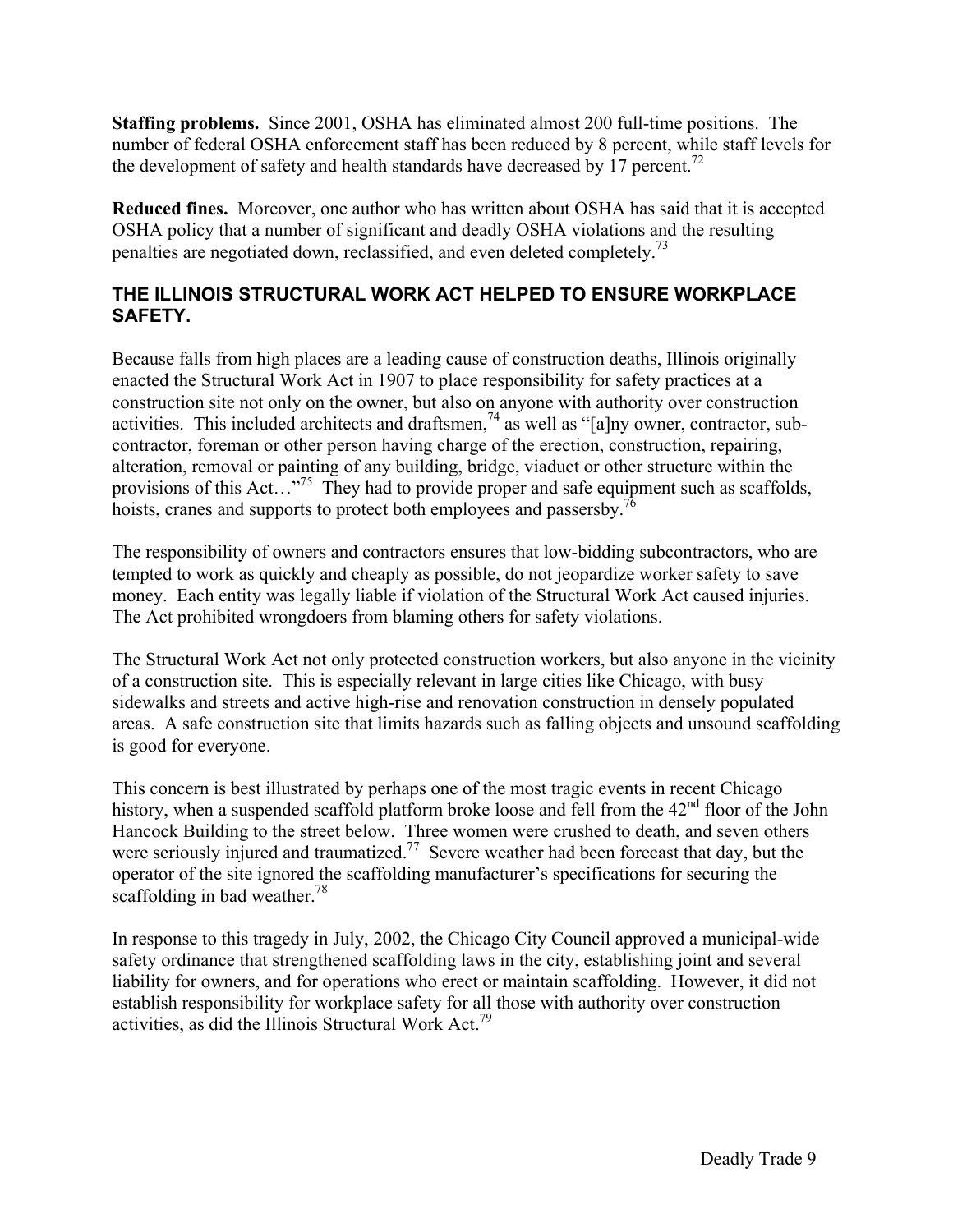**Staffing problems.** Since 2001, OSHA has eliminated almost 200 full-time positions. The number of federal OSHA enforcement staff has been reduced by 8 percent, while staff levels for the development of safety and health standards have decreased by  $17$  percent.<sup>72</sup>

**Reduced fines.** Moreover, one author who has written about OSHA has said that it is accepted OSHA policy that a number of significant and deadly OSHA violations and the resulting penalties are negotiated down, reclassified, and even deleted completely.<sup>73</sup>

## **THE ILLINOIS STRUCTURAL WORK ACT HELPED TO ENSURE WORKPLACE SAFETY.**

Because falls from high places are a leading cause of construction deaths, Illinois originally enacted the Structural Work Act in 1907 to place responsibility for safety practices at a construction site not only on the owner, but also on anyone with authority over construction activities. This included architects and draftsmen,  $^{74}$  as well as "[a]ny owner, contractor, subcontractor, foreman or other person having charge of the erection, construction, repairing, alteration, removal or painting of any building, bridge, viaduct or other structure within the provisions of this Act...<sup>75</sup> They had to provide proper and safe equipment such as scaffolds, hoists, cranes and supports to protect both employees and passersby.<sup>7</sup>

The responsibility of owners and contractors ensures that low-bidding subcontractors, who are tempted to work as quickly and cheaply as possible, do not jeopardize worker safety to save money. Each entity was legally liable if violation of the Structural Work Act caused injuries. The Act prohibited wrongdoers from blaming others for safety violations.

The Structural Work Act not only protected construction workers, but also anyone in the vicinity of a construction site. This is especially relevant in large cities like Chicago, with busy sidewalks and streets and active high-rise and renovation construction in densely populated areas. A safe construction site that limits hazards such as falling objects and unsound scaffolding is good for everyone.

This concern is best illustrated by perhaps one of the most tragic events in recent Chicago history, when a suspended scaffold platform broke loose and fell from the  $42<sup>nd</sup>$  floor of the John Hancock Building to the street below. Three women were crushed to death, and seven others were seriously injured and traumatized.<sup>77</sup> Severe weather had been forecast that day, but the operator of the site ignored the scaffolding manufacturer's specifications for securing the scaffolding in bad weather.<sup>78</sup>

In response to this tragedy in July, 2002, the Chicago City Council approved a municipal-wide safety ordinance that strengthened scaffolding laws in the city, establishing joint and several liability for owners, and for operations who erect or maintain scaffolding. However, it did not establish responsibility for workplace safety for all those with authority over construction activities, as did the Illinois Structural Work Act. 79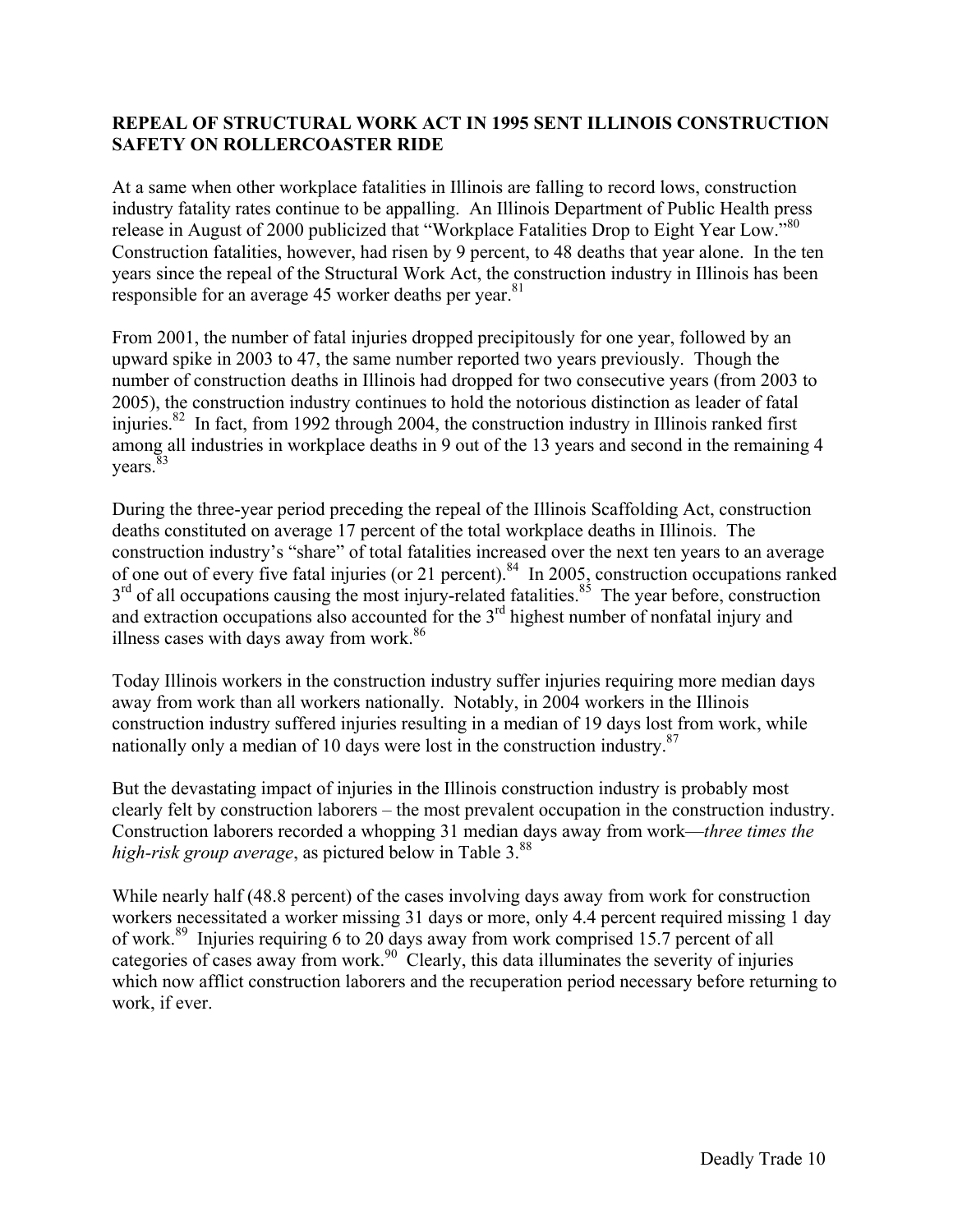#### **REPEAL OF STRUCTURAL WORK ACT IN 1995 SENT ILLINOIS CONSTRUCTION SAFETY ON ROLLERCOASTER RIDE**

At a same when other workplace fatalities in Illinois are falling to record lows, construction industry fatality rates continue to be appalling. An Illinois Department of Public Health press release in August of 2000 publicized that "Workplace Fatalities Drop to Eight Year Low."<sup>80</sup> Construction fatalities, however, had risen by 9 percent, to 48 deaths that year alone. In the ten years since the repeal of the Structural Work Act, the construction industry in Illinois has been responsible for an average 45 worker deaths per year.<sup>81</sup>

From 2001, the number of fatal injuries dropped precipitously for one year, followed by an upward spike in 2003 to 47, the same number reported two years previously. Though the number of construction deaths in Illinois had dropped for two consecutive years (from 2003 to 2005), the construction industry continues to hold the notorious distinction as leader of fatal injuries.<sup>82</sup> In fact, from 1992 through 2004, the construction industry in Illinois ranked first among all industries in workplace deaths in 9 out of the 13 years and second in the remaining 4 years.<sup>83</sup>

During the three-year period preceding the repeal of the Illinois Scaffolding Act, construction deaths constituted on average 17 percent of the total workplace deaths in Illinois. The construction industry's "share" of total fatalities increased over the next ten years to an average of one out of every five fatal injuries (or 21 percent).<sup>84</sup> In 2005, construction occupations ranked 3<sup>rd</sup> of all occupations causing the most injury-related fatalities.<sup>85</sup> The year before, construction and extraction occupations also accounted for the  $3<sup>rd</sup>$  highest number of nonfatal injury and illness cases with days away from work. 86

Today Illinois workers in the construction industry suffer injuries requiring more median days away from work than all workers nationally. Notably, in 2004 workers in the Illinois construction industry suffered injuries resulting in a median of 19 days lost from work, while nationally only a median of 10 days were lost in the construction industry. $87$ 

But the devastating impact of injuries in the Illinois construction industry is probably most clearly felt by construction laborers – the most prevalent occupation in the construction industry. Construction laborers recorded a whopping 31 median days away from work—*three times the high-risk group average*, as pictured below in Table 3.88

While nearly half (48.8 percent) of the cases involving days away from work for construction workers necessitated a worker missing 31 days or more, only 4.4 percent required missing 1 day of work.<sup>89</sup> Injuries requiring 6 to 20 days away from work comprised 15.7 percent of all categories of cases away from work.<sup>90</sup> Clearly, this data illuminates the severity of injuries which now afflict construction laborers and the recuperation period necessary before returning to work, if ever.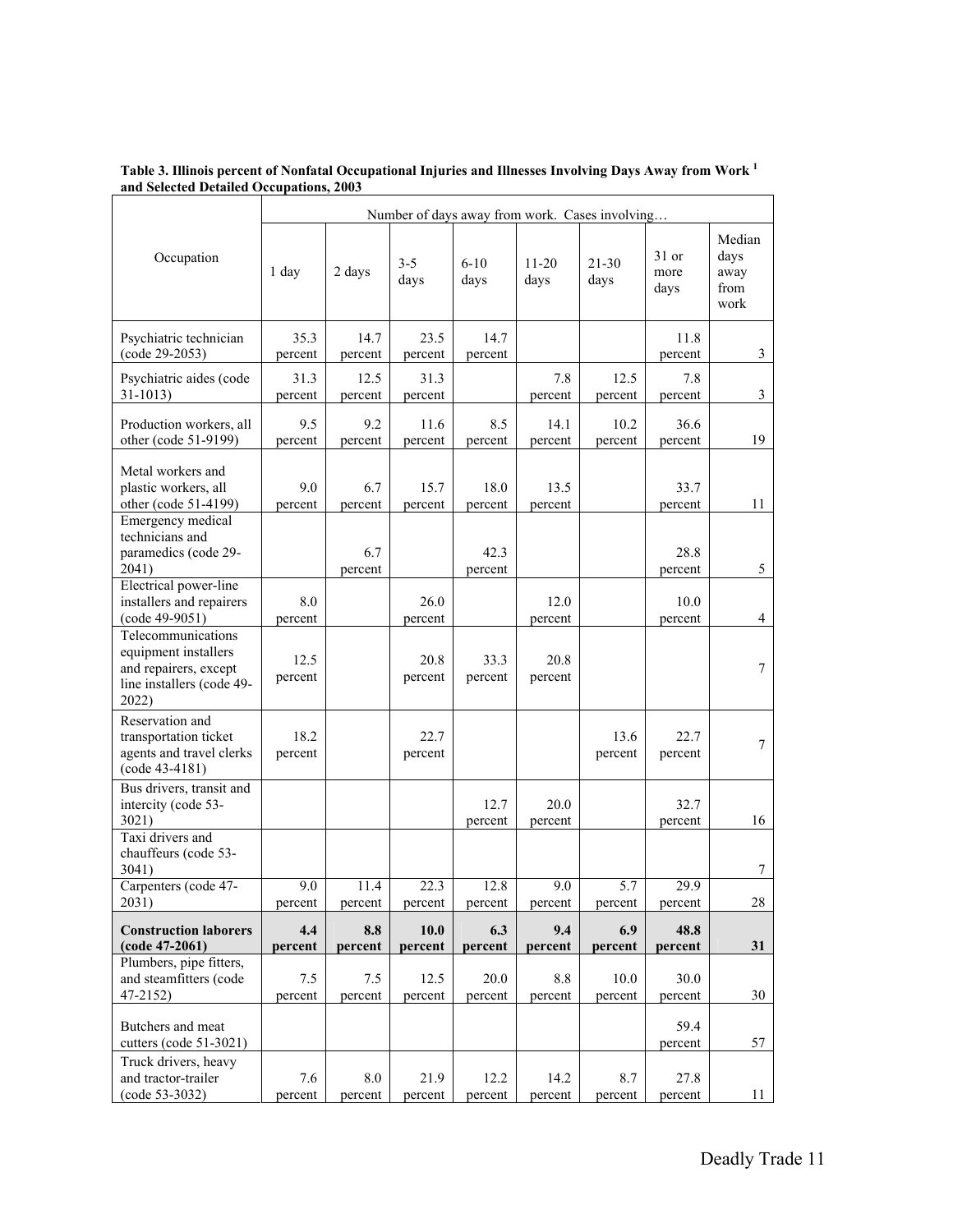**Table 3. Illinois percent of Nonfatal Occupational Injuries and Illnesses Involving Days Away from Work 1 and Selected Detailed Occupations, 2003** 

|                                                                                                                                   |                 |                       |                 |                         |                   | Number of days away from work. Cases involving |                         |                                        |
|-----------------------------------------------------------------------------------------------------------------------------------|-----------------|-----------------------|-----------------|-------------------------|-------------------|------------------------------------------------|-------------------------|----------------------------------------|
| Occupation                                                                                                                        | 1 day           | 2 days                | $3 - 5$<br>days | $6 - 10$<br>days        | $11 - 20$<br>days | $21 - 30$<br>days                              | $31$ or<br>more<br>days | Median<br>days<br>away<br>from<br>work |
| Psychiatric technician<br>(code 29-2053)                                                                                          | 35.3<br>percent | 14.7<br>percent       | 23.5<br>percent | 14.7<br>percent         |                   |                                                | 11.8<br>percent         | 3                                      |
| Psychiatric aides (code<br>31-1013)                                                                                               | 31.3<br>percent | 12.5<br>percent       | 31.3<br>percent |                         | 7.8<br>percent    | 12.5<br>percent                                | 7.8<br>percent          | 3                                      |
| Production workers, all<br>other (code 51-9199)                                                                                   | 9.5<br>percent  | 9.2<br>percent        | 11.6<br>percent | 8.5<br>percent          | 14.1<br>percent   | 10.2<br>percent                                | 36.6<br>percent         | 19                                     |
| Metal workers and<br>plastic workers, all<br>other (code 51-4199)<br>Emergency medical<br>technicians and<br>paramedics (code 29- | 9.0<br>percent  | 6.7<br>percent<br>6.7 | 15.7<br>percent | 18.0<br>percent<br>42.3 | 13.5<br>percent   |                                                | 33.7<br>percent<br>28.8 | 11                                     |
| 2041)                                                                                                                             |                 | percent               |                 | percent                 |                   |                                                | percent                 | 5                                      |
| Electrical power-line<br>installers and repairers<br>$(code 49-9051)$                                                             | 8.0<br>percent  |                       | 26.0<br>percent |                         | 12.0<br>percent   |                                                | 10.0<br>percent         | $\overline{4}$                         |
| Telecommunications<br>equipment installers<br>and repairers, except<br>line installers (code 49-<br>2022)                         | 12.5<br>percent |                       | 20.8<br>percent | 33.3<br>percent         | 20.8<br>percent   |                                                |                         | $\overline{7}$                         |
| Reservation and<br>transportation ticket<br>agents and travel clerks<br>$(code 43-4181)$                                          | 18.2<br>percent |                       | 22.7<br>percent |                         |                   | 13.6<br>percent                                | 22.7<br>percent         | $\overline{7}$                         |
| Bus drivers, transit and<br>intercity (code 53-<br>3021)                                                                          |                 |                       |                 | 12.7<br>percent         | 20.0<br>percent   |                                                | 32.7<br>percent         | 16                                     |
| Taxi drivers and<br>chauffeurs (code 53-<br>3041)                                                                                 |                 |                       |                 |                         |                   |                                                |                         | $\overline{7}$                         |
| Carpenters (code 47-<br>2031)                                                                                                     | 9.0<br>percent  | 11.4<br>percent       | 22.3<br>percent | 12.8<br>percent         | 9.0<br>percent    | 5.7<br>percent                                 | 29.9<br>percent         | 28                                     |
| <b>Construction laborers</b><br>$(code 47-2061)$                                                                                  | 4.4<br>percent  | 8.8<br>percent        | 10.0<br>percent | 6.3<br>percent          | 9.4<br>percent    | 6.9<br>percent                                 | 48.8<br>percent         | 31                                     |
| Plumbers, pipe fitters,<br>and steamfitters (code<br>$47 - 2152$                                                                  | 7.5<br>percent  | 7.5<br>percent        | 12.5<br>percent | 20.0<br>percent         | 8.8<br>percent    | 10.0<br>percent                                | 30.0<br>percent         | 30                                     |
| Butchers and meat<br>cutters (code 51-3021)                                                                                       |                 |                       |                 |                         |                   |                                                | 59.4<br>percent         | 57                                     |
| Truck drivers, heavy<br>and tractor-trailer<br>$(code 53-3032)$                                                                   | 7.6<br>percent  | 8.0<br>percent        | 21.9<br>percent | 12.2<br>percent         | 14.2<br>percent   | 8.7<br>percent                                 | 27.8<br>percent         | 11                                     |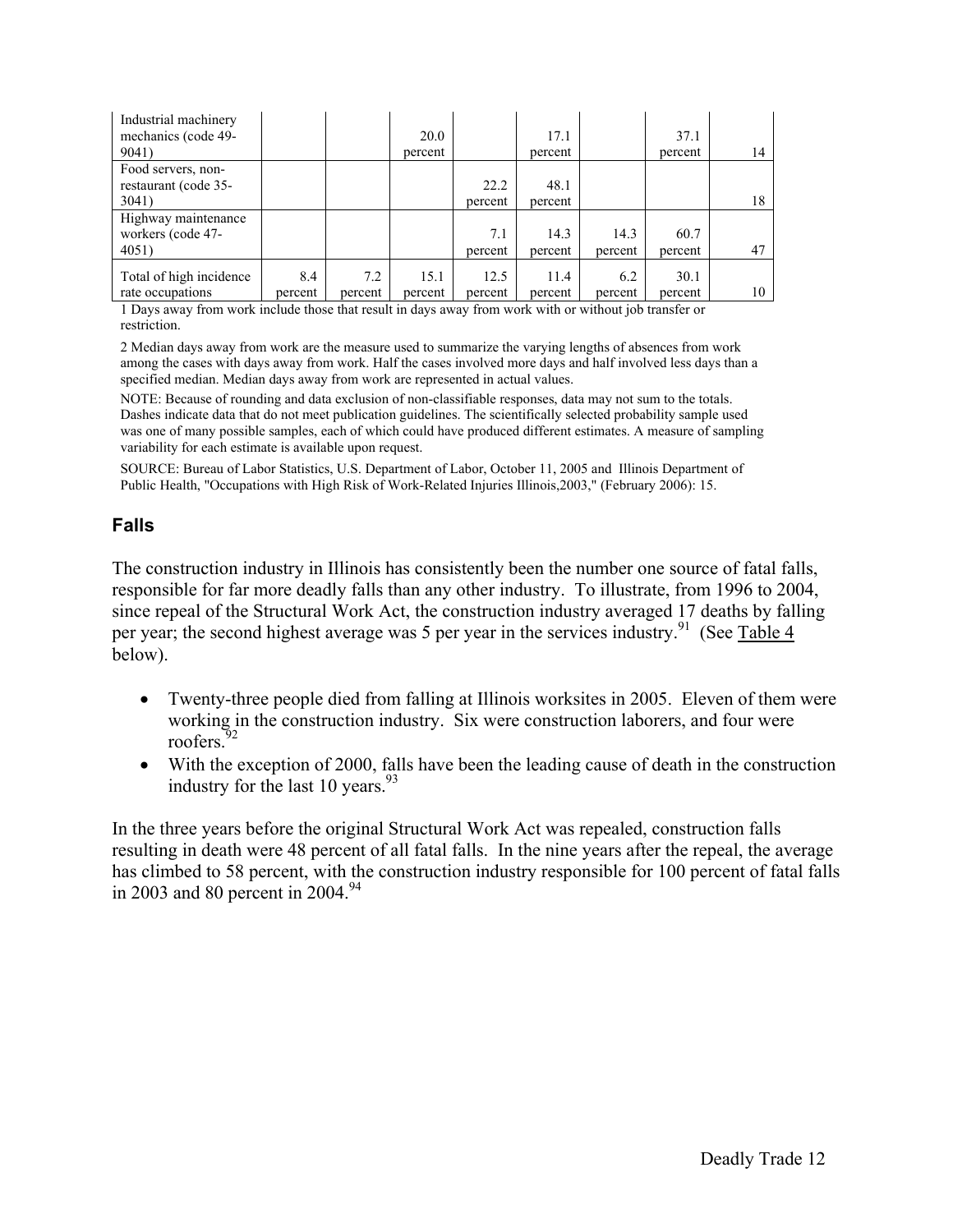| Industrial machinery<br>mechanics (code 49-<br>9041) |         |         | 20.0<br>percent |         | 17.1<br>percent |         | 37.1<br>percent | 14 |
|------------------------------------------------------|---------|---------|-----------------|---------|-----------------|---------|-----------------|----|
| Food servers, non-                                   |         |         |                 |         |                 |         |                 |    |
| restaurant (code 35-                                 |         |         |                 | 22.2    | 48.1            |         |                 |    |
| 3041)                                                |         |         |                 | percent | percent         |         |                 | 18 |
| Highway maintenance                                  |         |         |                 |         |                 |         |                 |    |
| workers (code 47-                                    |         |         |                 | 7.1     | 14.3            | 14.3    | 60.7            |    |
| 4051)                                                |         |         |                 | percent | percent         | percent | percent         | 47 |
| Total of high incidence                              | 8.4     | 7.2     | 15.1            | 12.5    | 11.4            | 6.2     | 30.1            |    |
| rate occupations                                     | percent | percent | percent         | percent | percent         | percent | percent         | 10 |

1 Days away from work include those that result in days away from work with or without job transfer or restriction.

2 Median days away from work are the measure used to summarize the varying lengths of absences from work among the cases with days away from work. Half the cases involved more days and half involved less days than a specified median. Median days away from work are represented in actual values.

NOTE: Because of rounding and data exclusion of non-classifiable responses, data may not sum to the totals. Dashes indicate data that do not meet publication guidelines. The scientifically selected probability sample used was one of many possible samples, each of which could have produced different estimates. A measure of sampling variability for each estimate is available upon request.

SOURCE: Bureau of Labor Statistics, U.S. Department of Labor, October 11, 2005 and Illinois Department of Public Health, "Occupations with High Risk of Work-Related Injuries Illinois,2003," (February 2006): 15.

### **Falls**

The construction industry in Illinois has consistently been the number one source of fatal falls, responsible for far more deadly falls than any other industry. To illustrate, from 1996 to 2004, since repeal of the Structural Work Act, the construction industry averaged 17 deaths by falling per year; the second highest average was 5 per year in the services industry.<sup>91</sup> (See Table 4 below).

- Twenty-three people died from falling at Illinois worksites in 2005. Eleven of them were working in the construction industry. Six were construction laborers, and four were roofers.<sup>92</sup>
- ! With the exception of 2000, falls have been the leading cause of death in the construction industry for the last 10 years. 93

In the three years before the original Structural Work Act was repealed, construction falls resulting in death were 48 percent of all fatal falls. In the nine years after the repeal, the average has climbed to 58 percent, with the construction industry responsible for 100 percent of fatal falls in 2003 and 80 percent in  $2004.<sup>94</sup>$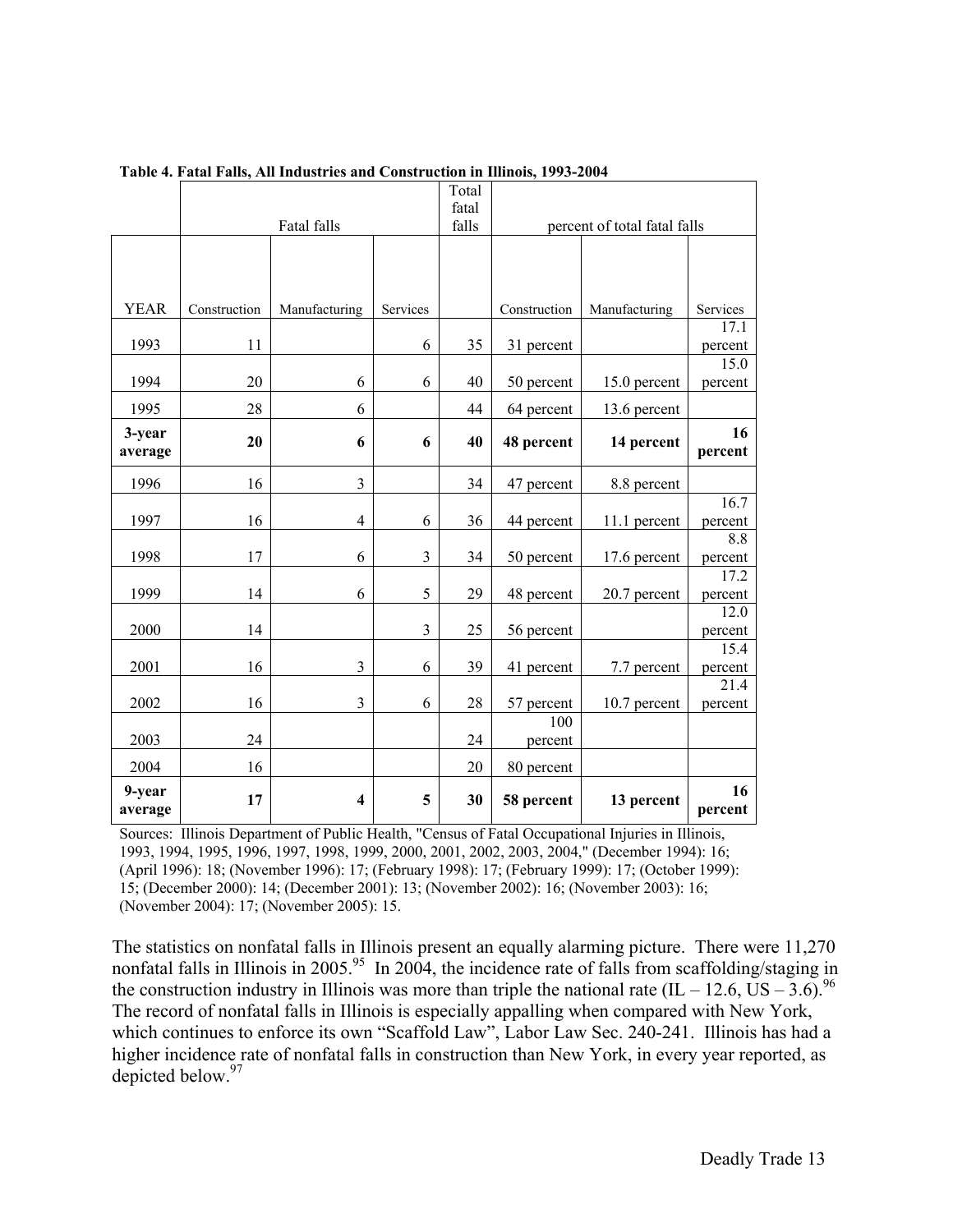|                   |              |                         |                         | Total                        |              |               |                 |
|-------------------|--------------|-------------------------|-------------------------|------------------------------|--------------|---------------|-----------------|
|                   |              |                         | fatal<br>falls          | percent of total fatal falls |              |               |                 |
|                   |              | Fatal falls             |                         |                              |              |               |                 |
|                   |              |                         |                         |                              |              |               |                 |
|                   |              |                         |                         |                              |              |               |                 |
| YEAR              | Construction | Manufacturing           | Services                |                              | Construction | Manufacturing | Services        |
|                   |              |                         |                         |                              |              |               | 17.1            |
| 1993              | 11           |                         | 6                       | 35                           | 31 percent   |               | percent         |
|                   |              |                         |                         |                              |              |               | 15.0            |
| 1994              | 20           | 6                       | 6                       | 40                           | 50 percent   | 15.0 percent  | percent         |
| 1995              | 28           | 6                       |                         | 44                           | 64 percent   | 13.6 percent  |                 |
| 3-year            |              |                         |                         |                              |              |               | 16              |
| average           | 20           | 6                       | 6                       | 40                           | 48 percent   | 14 percent    | percent         |
| 1996              | 16           | $\overline{\mathbf{3}}$ |                         | 34                           | 47 percent   | 8.8 percent   |                 |
|                   |              |                         |                         |                              |              |               | 16.7            |
| 1997              | 16           | $\overline{4}$          | 6                       | 36                           | 44 percent   | 11.1 percent  | percent         |
|                   |              |                         |                         |                              |              |               | 8.8             |
| 1998              | 17           | 6                       | 3                       | 34                           | 50 percent   | 17.6 percent  | percent         |
| 1999              | 14           | 6                       | 5                       | 29                           |              | 20.7 percent  | 17.2            |
|                   |              |                         |                         |                              | 48 percent   |               | percent<br>12.0 |
| 2000              | 14           |                         | $\overline{\mathbf{3}}$ | 25                           | 56 percent   |               | percent         |
|                   |              |                         |                         |                              |              |               | 15.4            |
| 2001              | 16           | 3                       | 6                       | 39                           | 41 percent   | 7.7 percent   | percent         |
|                   |              |                         |                         |                              |              |               | 21.4            |
| 2002              | 16           | 3                       | 6                       | 28                           | 57 percent   | 10.7 percent  | percent         |
|                   |              |                         |                         |                              | 100          |               |                 |
| 2003              | 24           |                         |                         | 24                           | percent      |               |                 |
| 2004              | 16           |                         |                         | 20                           | 80 percent   |               |                 |
| 9-year<br>average | 17           | $\overline{\mathbf{4}}$ | 5                       | 30                           | 58 percent   | 13 percent    | 16<br>percent   |

|  | Table 4. Fatal Falls, All Industries and Construction in Illinois, 1993-2004 |  |  |
|--|------------------------------------------------------------------------------|--|--|
|  |                                                                              |  |  |

Sources: Illinois Department of Public Health, "Census of Fatal Occupational Injuries in Illinois, 1993, 1994, 1995, 1996, 1997, 1998, 1999, 2000, 2001, 2002, 2003, 2004," (December 1994): 16; (April 1996): 18; (November 1996): 17; (February 1998): 17; (February 1999): 17; (October 1999): 15; (December 2000): 14; (December 2001): 13; (November 2002): 16; (November 2003): 16; (November 2004): 17; (November 2005): 15.

The statistics on nonfatal falls in Illinois present an equally alarming picture. There were 11,270 nonfatal falls in Illinois in 2005.<sup>95</sup> In 2004, the incidence rate of falls from scaffolding/staging in the construction industry in Illinois was more than triple the national rate  $(II - 12.6, US - 3.6)^{96}$ The record of nonfatal falls in Illinois is especially appalling when compared with New York, which continues to enforce its own "Scaffold Law", Labor Law Sec. 240-241. Illinois has had a higher incidence rate of nonfatal falls in construction than New York, in every year reported, as depicted below.<sup>97</sup>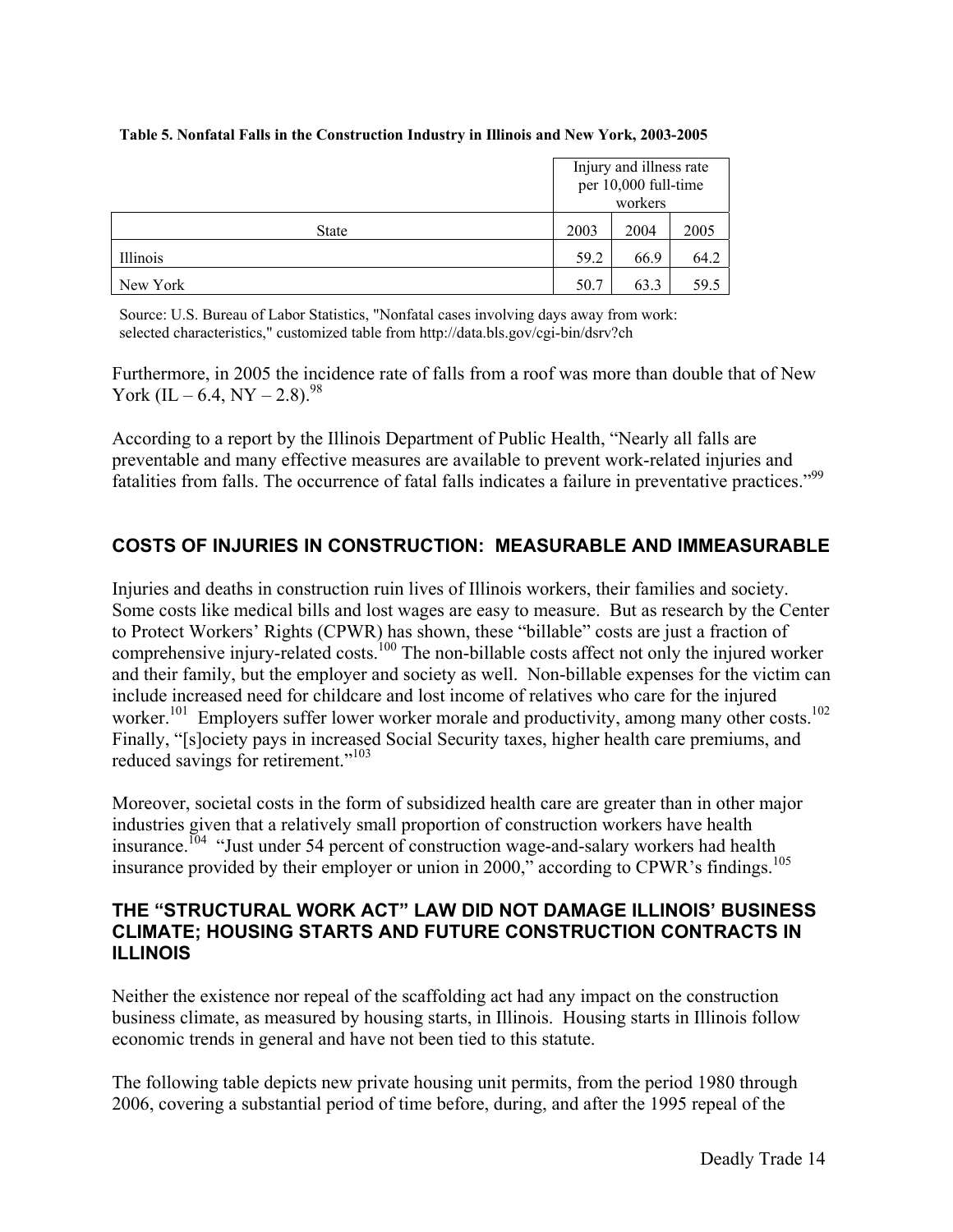|              |      | Injury and illness rate<br>per 10,000 full-time<br>workers |      |  |
|--------------|------|------------------------------------------------------------|------|--|
| <b>State</b> | 2003 | 2004                                                       | 2005 |  |
| Illinois     | 59.2 | 66.9                                                       | 64.2 |  |
| New York     | 50.7 | 63.3                                                       | 59.5 |  |

#### **Table 5. Nonfatal Falls in the Construction Industry in Illinois and New York, 2003-2005**

Source: U.S. Bureau of Labor Statistics, "Nonfatal cases involving days away from work: selected characteristics," customized table from http://data.bls.gov/cgi-bin/dsrv?ch

Furthermore, in 2005 the incidence rate of falls from a roof was more than double that of New York (IL – 6.4, NY – 2.8).<sup>98</sup>

According to a report by the Illinois Department of Public Health, "Nearly all falls are preventable and many effective measures are available to prevent work-related injuries and fatalities from falls. The occurrence of fatal falls indicates a failure in preventative practices."<sup>99</sup>

## **COSTS OF INJURIES IN CONSTRUCTION: MEASURABLE AND IMMEASURABLE**

Injuries and deaths in construction ruin lives of Illinois workers, their families and society. Some costs like medical bills and lost wages are easy to measure. But as research by the Center to Protect Workers' Rights (CPWR) has shown, these "billable" costs are just a fraction of comprehensive injury-related costs.<sup>100</sup> The non-billable costs affect not only the injured worker and their family, but the employer and society as well. Non-billable expenses for the victim can include increased need for childcare and lost income of relatives who care for the injured worker.<sup>101</sup> Employers suffer lower worker morale and productivity, among many other costs.<sup>102</sup> Finally, "[s]ociety pays in increased Social Security taxes, higher health care premiums, and reduced savings for retirement."103

Moreover, societal costs in the form of subsidized health care are greater than in other major industries given that a relatively small proportion of construction workers have health insurance.<sup>104</sup> "Just under 54 percent of construction wage-and-salary workers had health insurance provided by their employer or union in 2000," according to CPWR's findings.<sup>105</sup>

### **THE "STRUCTURAL WORK ACT" LAW DID NOT DAMAGE ILLINOIS' BUSINESS CLIMATE; HOUSING STARTS AND FUTURE CONSTRUCTION CONTRACTS IN ILLINOIS**

Neither the existence nor repeal of the scaffolding act had any impact on the construction business climate, as measured by housing starts, in Illinois. Housing starts in Illinois follow economic trends in general and have not been tied to this statute.

The following table depicts new private housing unit permits, from the period 1980 through 2006, covering a substantial period of time before, during, and after the 1995 repeal of the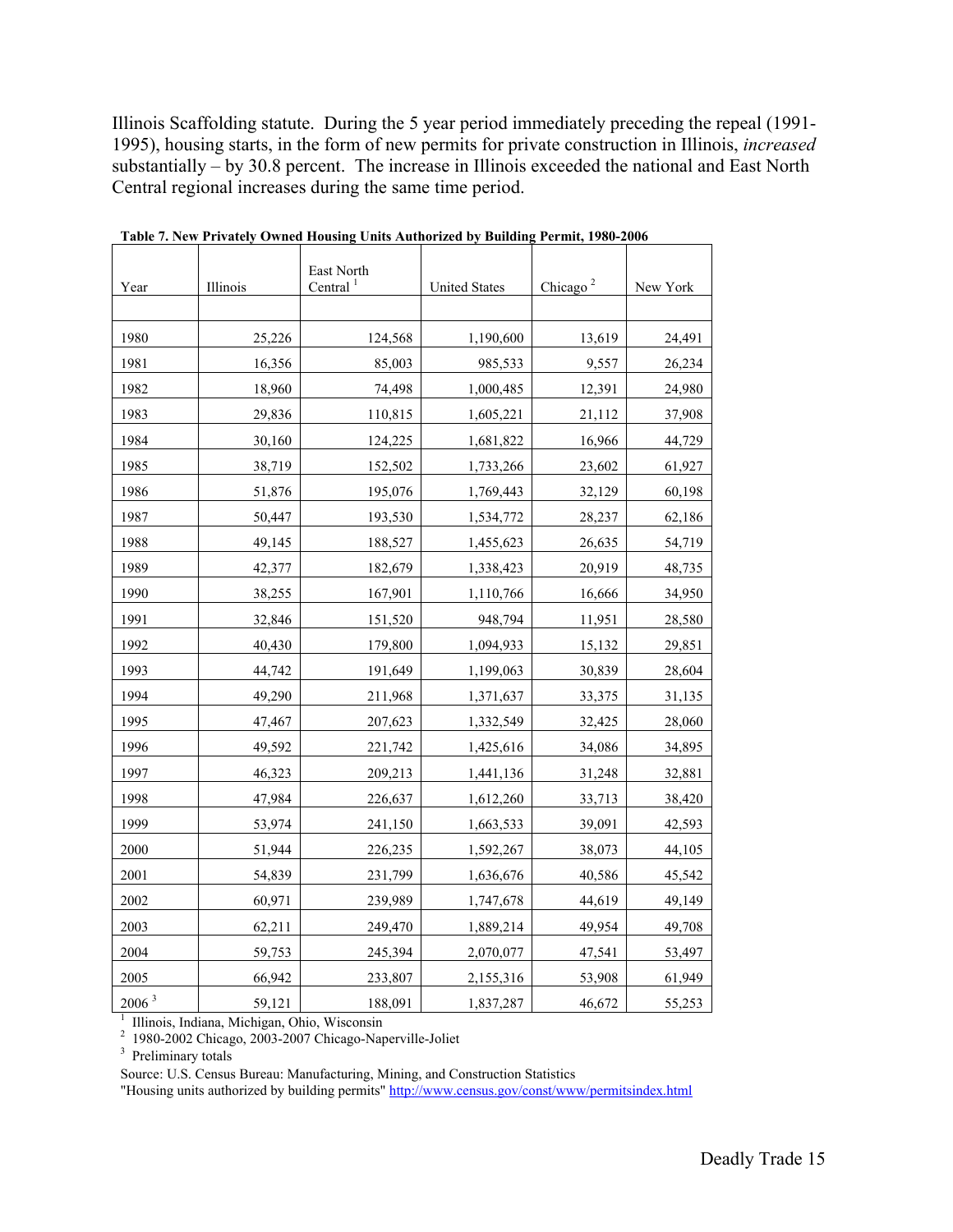Illinois Scaffolding statute. During the 5 year period immediately preceding the repeal (1991- 1995), housing starts, in the form of new permits for private construction in Illinois, *increased*  substantially – by 30.8 percent. The increase in Illinois exceeded the national and East North Central regional increases during the same time period.

| Year              | Illinois | East North<br>Central <sup>1</sup> | <b>United States</b> | Chicago <sup>2</sup> | New York |
|-------------------|----------|------------------------------------|----------------------|----------------------|----------|
|                   |          |                                    |                      |                      |          |
| 1980              | 25,226   | 124,568                            | 1,190,600            | 13,619               | 24,491   |
| 1981              | 16,356   | 85,003                             | 985,533              | 9,557                | 26,234   |
| 1982              | 18,960   | 74,498                             | 1,000,485            | 12,391               | 24,980   |
| 1983              | 29,836   | 110,815                            | 1,605,221            | 21,112               | 37,908   |
| 1984              | 30,160   | 124,225                            | 1,681,822            | 16,966               | 44,729   |
| 1985              | 38,719   | 152,502                            | 1,733,266            | 23,602               | 61,927   |
| 1986              | 51,876   | 195,076                            | 1,769,443            | 32,129               | 60,198   |
| 1987              | 50,447   | 193,530                            | 1,534,772            | 28,237               | 62,186   |
| 1988              | 49,145   | 188,527                            | 1,455,623            | 26,635               | 54,719   |
| 1989              | 42,377   | 182,679                            | 1,338,423            | 20,919               | 48,735   |
| 1990              | 38,255   | 167,901                            | 1,110,766            | 16,666               | 34,950   |
| 1991              | 32,846   | 151,520                            | 948,794              | 11,951               | 28,580   |
| 1992              | 40,430   | 179,800                            | 1,094,933            | 15,132               | 29,851   |
| 1993              | 44,742   | 191,649                            | 1,199,063            | 30,839               | 28,604   |
| 1994              | 49,290   | 211,968                            | 1,371,637            | 33,375               | 31,135   |
| 1995              | 47,467   | 207,623                            | 1,332,549            | 32,425               | 28,060   |
| 1996              | 49,592   | 221,742                            | 1,425,616            | 34,086               | 34,895   |
| 1997              | 46,323   | 209,213                            | 1,441,136            | 31,248               | 32,881   |
| 1998              | 47,984   | 226,637                            | 1,612,260            | 33,713               | 38,420   |
| 1999              | 53,974   | 241,150                            | 1,663,533            | 39,091               | 42,593   |
| 2000              | 51,944   | 226,235                            | 1,592,267            | 38,073               | 44,105   |
| 2001              | 54,839   | 231,799                            | 1,636,676            | 40,586               | 45,542   |
| 2002              | 60,971   | 239,989                            | 1,747,678            | 44,619               | 49,149   |
| 2003              | 62,211   | 249,470                            | 1,889,214            | 49,954               | 49,708   |
| 2004              | 59,753   | 245,394                            | 2,070,077            | 47,541               | 53,497   |
| 2005              | 66,942   | 233,807                            | 2,155,316            | 53,908               | 61,949   |
| 2006 <sup>3</sup> | 59,121   | 188,091                            | 1,837,287            | 46,672               | 55,253   |

**Table 7. New Privately Owned Housing Units Authorized by Building Permit, 1980-2006** 

<sup>1</sup> Illinois, Indiana, Michigan, Ohio, Wisconsin<br><sup>2</sup> 1980-2002 Chicago, 2003-2007 Chicago-Naperville-Joliet <sup>3</sup> Preliminary totals

Source: U.S. Census Bureau: Manufacturing, Mining, and Construction Statistics

"Housing units authorized by building permits" http://www.census.gov/const/www/permitsindex.html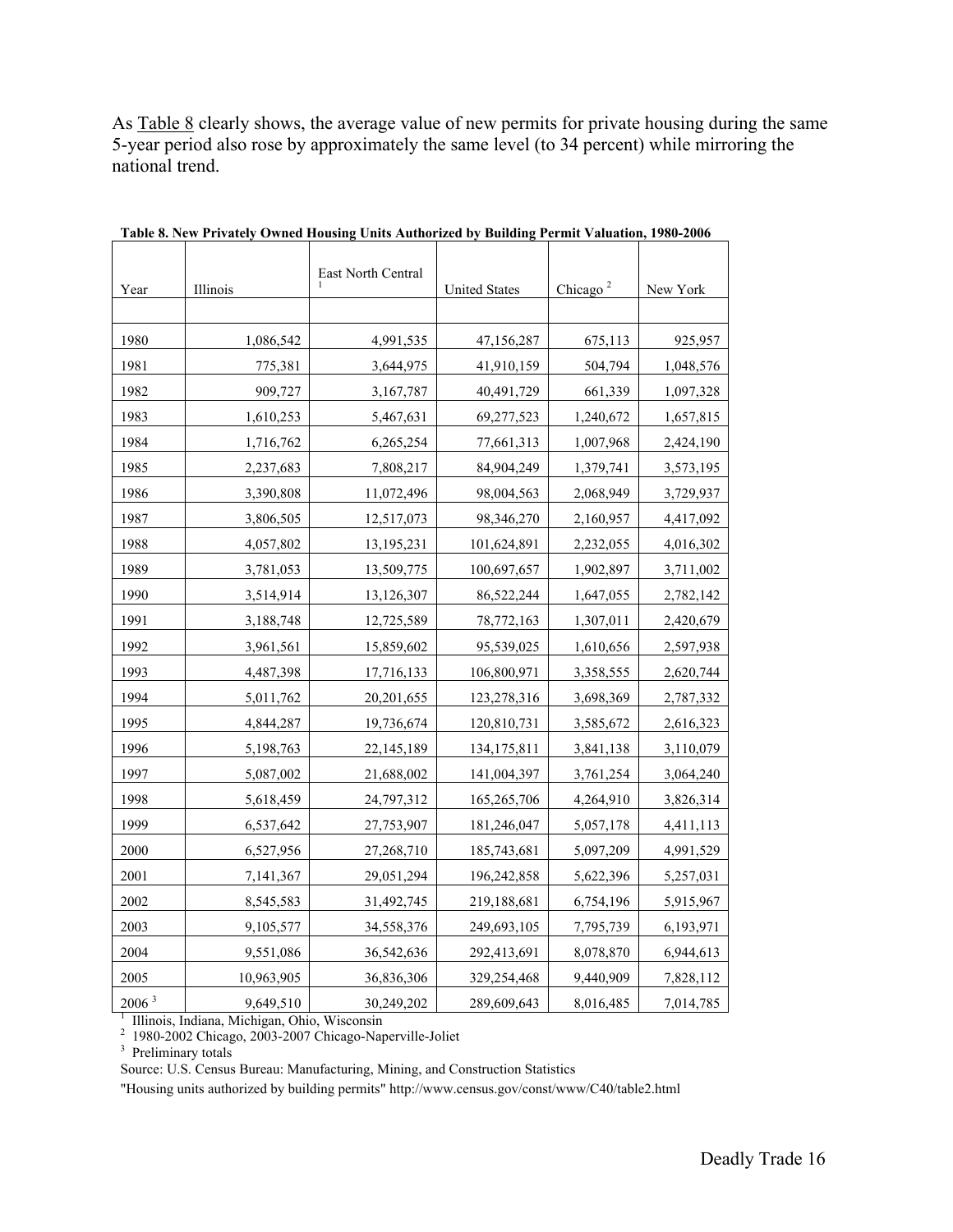As Table 8 clearly shows, the average value of new permits for private housing during the same 5-year period also rose by approximately the same level (to 34 percent) while mirroring the national trend.

| Year              | Illinois   | East North Central | <b>United States</b> | Chicago <sup>2</sup> | New York  |
|-------------------|------------|--------------------|----------------------|----------------------|-----------|
|                   |            |                    |                      |                      |           |
| 1980              | 1,086,542  | 4,991,535          | 47,156,287           | 675,113              | 925,957   |
| 1981              | 775,381    | 3,644,975          | 41,910,159           | 504,794              | 1,048,576 |
| 1982              | 909,727    | 3,167,787          | 40,491,729           | 661,339              | 1,097,328 |
| 1983              | 1,610,253  | 5,467,631          | 69,277,523           | 1,240,672            | 1,657,815 |
| 1984              | 1,716,762  | 6,265,254          | 77,661,313           | 1,007,968            | 2,424,190 |
| 1985              | 2,237,683  | 7,808,217          | 84,904,249           | 1,379,741            | 3,573,195 |
| 1986              | 3,390,808  | 11,072,496         | 98,004,563           | 2,068,949            | 3,729,937 |
| 1987              | 3,806,505  | 12,517,073         | 98,346,270           | 2,160,957            | 4,417,092 |
| 1988              | 4,057,802  | 13,195,231         | 101,624,891          | 2,232,055            | 4,016,302 |
| 1989              | 3,781,053  | 13,509,775         | 100,697,657          | 1,902,897            | 3,711,002 |
| 1990              | 3,514,914  | 13,126,307         | 86,522,244           | 1,647,055            | 2,782,142 |
| 1991              | 3,188,748  | 12,725,589         | 78,772,163           | 1,307,011            | 2,420,679 |
| 1992              | 3,961,561  | 15,859,602         | 95,539,025           | 1,610,656            | 2,597,938 |
| 1993              | 4,487,398  | 17,716,133         | 106,800,971          | 3,358,555            | 2,620,744 |
| 1994              | 5,011,762  | 20,201,655         | 123,278,316          | 3,698,369            | 2,787,332 |
| 1995              | 4,844,287  | 19,736,674         | 120,810,731          | 3,585,672            | 2,616,323 |
| 1996              | 5,198,763  | 22,145,189         | 134, 175, 811        | 3,841,138            | 3,110,079 |
| 1997              | 5,087,002  | 21,688,002         | 141,004,397          | 3,761,254            | 3,064,240 |
| 1998              | 5,618,459  | 24,797,312         | 165,265,706          | 4,264,910            | 3,826,314 |
| 1999              | 6,537,642  | 27,753,907         | 181,246,047          | 5,057,178            | 4,411,113 |
| 2000              | 6,527,956  | 27,268,710         | 185,743,681          | 5,097,209            | 4,991,529 |
| 2001              | 7,141,367  | 29,051,294         | 196,242,858          | 5,622,396            | 5,257,031 |
| 2002              | 8,545,583  | 31,492,745         | 219,188,681          | 6,754,196            | 5,915,967 |
| 2003              | 9,105,577  | 34,558,376         | 249,693,105          | 7,795,739            | 6,193,971 |
| 2004              | 9,551,086  | 36,542,636         | 292,413,691          | 8,078,870            | 6,944,613 |
| 2005              | 10,963,905 | 36,836,306         | 329,254,468          | 9,440,909            | 7,828,112 |
| 2006 <sup>3</sup> | 9,649,510  | 30,249,202         | 289,609,643          | 8,016,485            | 7,014,785 |

**Table 8. New Privately Owned Housing Units Authorized by Building Permit Valuation, 1980-2006** 

<sup>1</sup> Illinois, Indiana, Michigan, Ohio, Wisconsin<br><sup>2</sup> 1980-2002 Chicago, 2003-2007 Chicago-Naperville-Joliet <sup>3</sup> Preliminary totals

Source: U.S. Census Bureau: Manufacturing, Mining, and Construction Statistics

"Housing units authorized by building permits" http://www.census.gov/const/www/C40/table2.html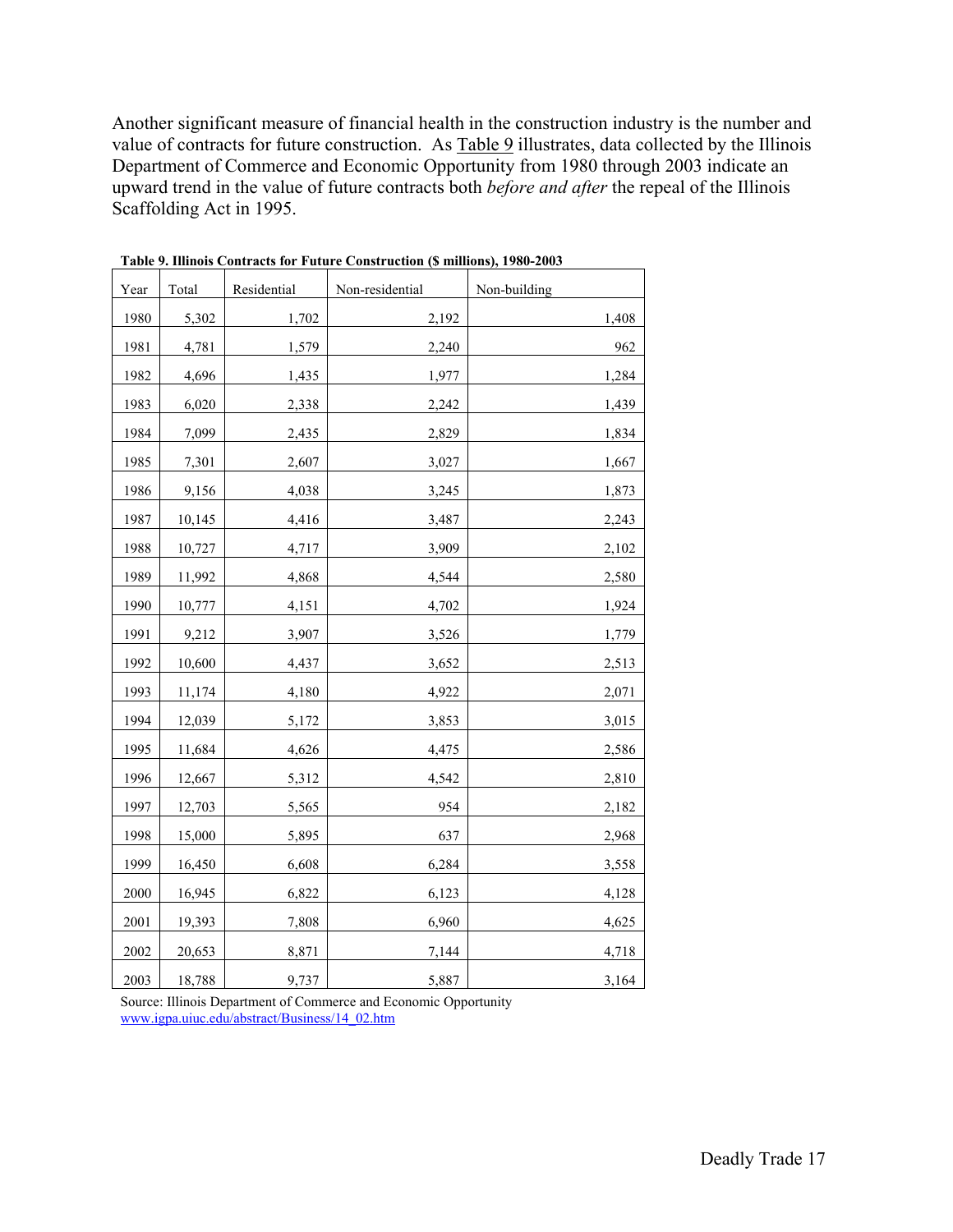Another significant measure of financial health in the construction industry is the number and value of contracts for future construction. As Table 9 illustrates, data collected by the Illinois Department of Commerce and Economic Opportunity from 1980 through 2003 indicate an upward trend in the value of future contracts both *before and after* the repeal of the Illinois Scaffolding Act in 1995.

| Year | Total  | Residential | Non-residential | Non-building |
|------|--------|-------------|-----------------|--------------|
| 1980 | 5,302  | 1,702       | 2,192           | 1,408        |
| 1981 | 4,781  | 1,579       | 2,240           | 962          |
| 1982 | 4,696  | 1,435       | 1,977           | 1,284        |
| 1983 | 6,020  | 2,338       | 2,242           | 1,439        |
| 1984 | 7,099  | 2,435       | 2,829           | 1,834        |
| 1985 | 7,301  | 2,607       | 3,027           | 1,667        |
| 1986 | 9,156  | 4,038       | 3,245           | 1,873        |
| 1987 | 10,145 | 4,416       | 3,487           | 2,243        |
| 1988 | 10,727 | 4,717       | 3,909           | 2,102        |
| 1989 | 11,992 | 4,868       | 4,544           | 2,580        |
| 1990 | 10,777 | 4,151       | 4,702           | 1,924        |
| 1991 | 9,212  | 3,907       | 3,526           | 1,779        |
| 1992 | 10,600 | 4,437       | 3,652           | 2,513        |
| 1993 | 11,174 | 4,180       | 4,922           | 2,071        |
| 1994 | 12,039 | 5,172       | 3,853           | 3,015        |
| 1995 | 11,684 | 4,626       | 4,475           | 2,586        |
| 1996 | 12,667 | 5,312       | 4,542           | 2,810        |
| 1997 | 12,703 | 5,565       | 954             | 2,182        |
| 1998 | 15,000 | 5,895       | 637             | 2,968        |
| 1999 | 16,450 | 6,608       | 6,284           | 3,558        |
| 2000 | 16,945 | 6,822       | 6,123           | 4,128        |
| 2001 | 19,393 | 7,808       | 6,960           | 4,625        |
| 2002 | 20,653 | 8,871       | 7,144           | 4,718        |
| 2003 | 18,788 | 9,737       | 5,887           | 3,164        |

**Table 9. Illinois Contracts for Future Construction (\$ millions), 1980-2003**

Source: Illinois Department of Commerce and Economic Opportunity www.igpa.uiuc.edu/abstract/Business/14\_02.htm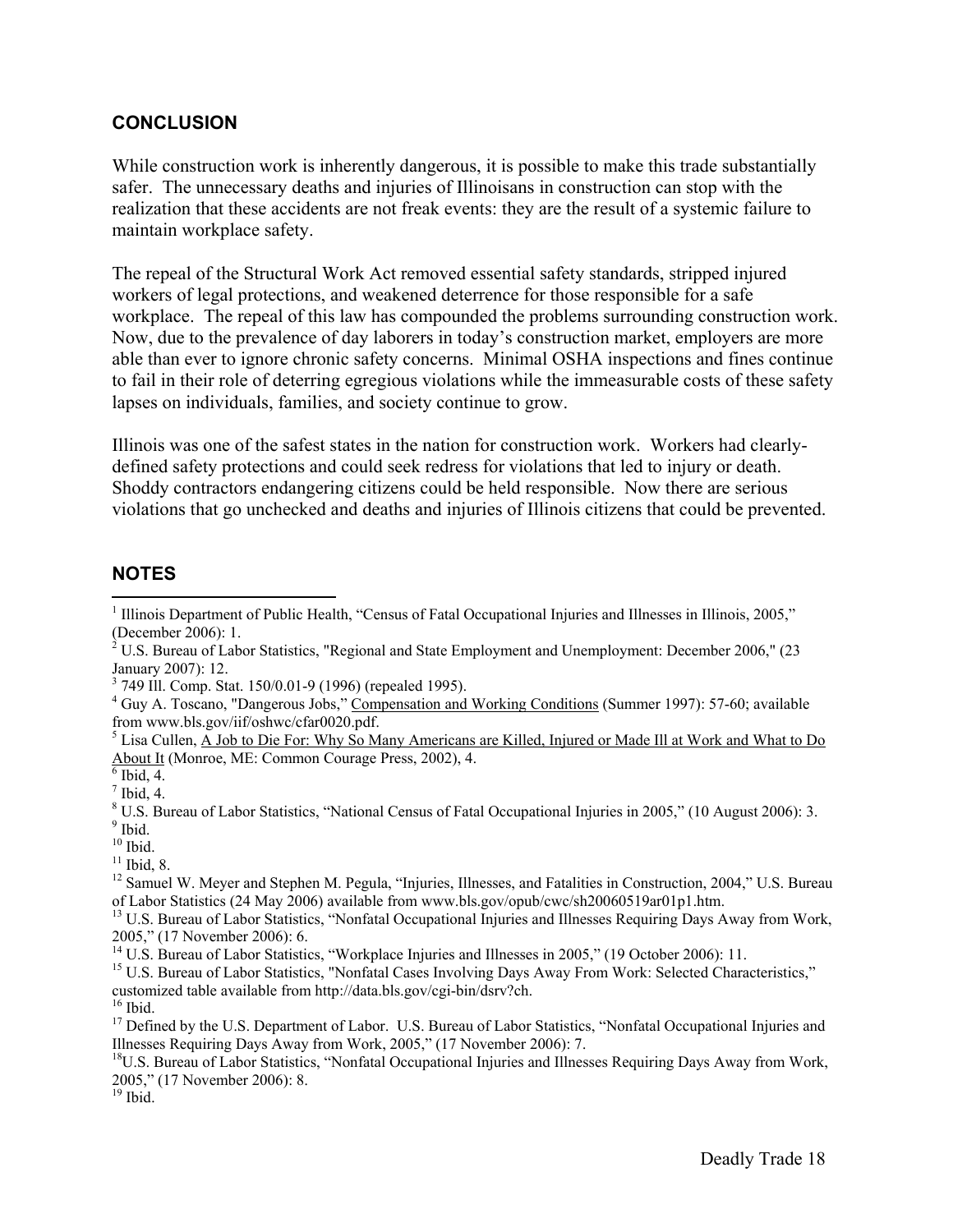#### **CONCLUSION**

While construction work is inherently dangerous, it is possible to make this trade substantially safer. The unnecessary deaths and injuries of Illinoisans in construction can stop with the realization that these accidents are not freak events: they are the result of a systemic failure to maintain workplace safety.

The repeal of the Structural Work Act removed essential safety standards, stripped injured workers of legal protections, and weakened deterrence for those responsible for a safe workplace. The repeal of this law has compounded the problems surrounding construction work. Now, due to the prevalence of day laborers in today's construction market, employers are more able than ever to ignore chronic safety concerns. Minimal OSHA inspections and fines continue to fail in their role of deterring egregious violations while the immeasurable costs of these safety lapses on individuals, families, and society continue to grow.

Illinois was one of the safest states in the nation for construction work. Workers had clearlydefined safety protections and could seek redress for violations that led to injury or death. Shoddy contractors endangering citizens could be held responsible. Now there are serious violations that go unchecked and deaths and injuries of Illinois citizens that could be prevented.

#### **NOTES**

 $\overline{a}$ 

<sup>13</sup> U.S. Bureau of Labor Statistics, "Nonfatal Occupational Injuries and Illnesses Requiring Days Away from Work, 2005," (17 November 2006): 6.<br><sup>14</sup> U.S. Bureau of Labor Statistics, "Workplace Injuries and Illnesses in 2005," (19 October 2006): 11.<br><sup>15</sup> U.S. Bureau of Labor Statistics, "Nonfatal Cases Involving Days Away From Work: Se

<sup>16</sup> Ibid.<br><sup>16</sup> Ibid.<br><sup>17</sup> Defined by the U.S. Department of Labor. U.S. Bureau of Labor Statistics, "Nonfatal Occupational Injuries and<br>Illnesses Requiring Days Away from Work, 2005," (17 November 2006): 7.

<sup>&</sup>lt;sup>1</sup> Illinois Department of Public Health, "Census of Fatal Occupational Injuries and Illnesses in Illinois, 2005,"

<sup>(</sup>December 2006): 1. 2 U.S. Bureau of Labor Statistics, "Regional and State Employment and Unemployment: December 2006," (23

January 2007): 12.<br><sup>3</sup> 749 Ill. Comp. Stat. 150/0.01-9 (1996) (repealed 1995).<br><sup>4</sup> Guy A. Toscano, "Dangerous Jobs," Compensation and Working Conditions (Summer 1997): 57-60; available<br>from www.bls.gov/iif/oshwc/cfar0020.p

<sup>&</sup>lt;sup>5</sup> Lisa Cullen, <u>A Job to Die For: Why So Many Americans are Killed, Injured or Made Ill at Work and What to Do About It (Monroe, ME: Common Courage Press, 2002), 4.</u>

<sup>&</sup>lt;sup>6</sup> Ibid, 4.<br>
<sup>7</sup> Ibid, 4.<br>
<sup>8</sup> U.S. Bureau of Labor Statistics, "National Census of Fatal Occupational Injuries in 2005," (10 August 2006): 3.<br>
<sup>9</sup> Ibid.<br>
<sup>10</sup> Ibid.<br>
<sup>11</sup> Ibid, 8.<br>
<sup>12</sup> Samuel W. Meyer and Stephen M. Pe

<sup>&</sup>lt;sup>18</sup>U.S. Bureau of Labor Statistics, "Nonfatal Occupational Injuries and Illnesses Requiring Days Away from Work, 2005," (17 November 2006): 8. <sup>19</sup> Ibid.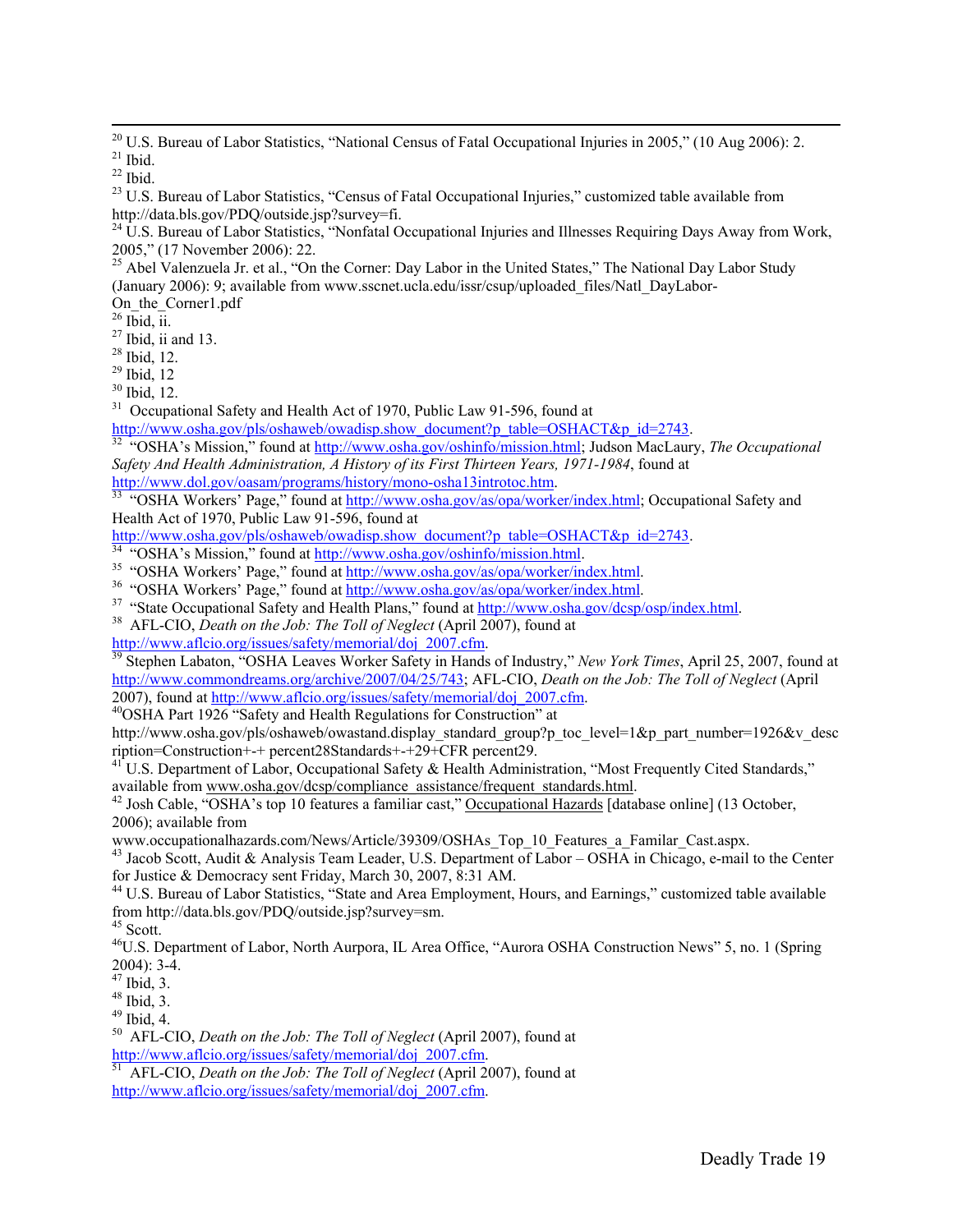<sup>20</sup> U.S. Bureau of Labor Statistics, "National Census of Fatal Occupational Injuries in 2005," (10 Aug 2006): 2.<br><sup>21</sup> Ibid.<br><sup>22</sup> Ibid.<br><sup>23</sup> U.S. Bureau of Labor Statistics, "Census of Fatal Occupational Injuries," custom

<sup>24</sup> U.S. Bureau of Labor Statistics, "Nonfatal Occupational Injuries and Illnesses Requiring Days Away from Work, 2005," (17 November 2006): 22.

<sup>25</sup> Abel Valenzuela Jr. et al., "On the Corner: Day Labor in the United States," The National Day Labor Study (January 2006): 9; available from www.sscnet.ucla.edu/issr/csup/uploaded\_files/Natl\_DayLabor-

On\_the\_Corner1.pdf<br>
<sup>26</sup> Ibid, ii.<br>
<sup>27</sup> Ibid, ii and 13.<br>
<sup>28</sup> Ibid, 12.<br>
<sup>29</sup> Ibid, 12.<br>
<sup>30</sup> Ibid, 12.<br>
<sup>31</sup> Occupational Safety and Health Act of 1970, Public Law 91-596, found at

http://www.osha.gov/pls/oshaweb/owadisp.show\_document?p\_table=OSHACT&p\_id=2743. <sup>32</sup> "OSHA's Mission," found at http://www.osha.gov/oshinfo/mission.html; Judson MacLaury, *The Occupational Safety And Health Administration, A History of its First Thirteen Years, 1971-1984*, found at

http://www.dol.gov/oasam/programs/history/mono-osha13introtoc.htm.<br><sup>33</sup> "OSHA Workers' Page," found at http://www.osha.gov/as/opa/worker/index.html; Occupational Safety and Health Act of 1970, Public Law 91-596, found at

http://www.osha.gov/pls/oshaweb/owadisp.show\_document?p\_table=OSHACT&p\_id=2743.<br><sup>34</sup> "OSHA's Mission," found at <u>http://www.osha.gov/oshinfo/mission.html</u>.<br><sup>35</sup> "OSHA Workers' Page," found at <u>http://www.osha.gov/as/opa/wo</u>

http://www.aflcio.org/issues/safety/memorial/doj\_2007.cfm.<br><sup>39</sup> Stephen Labaton, "OSHA Leaves Worker Safety in Hands of Industry," *New York Times*, April 25, 2007, found at http://www.commondreams.org/archive/2007/04/25/743; AFL-CIO, *Death on the Job: The Toll of Neglect* (April

<sup>40</sup>OSHA Part 1926 "Safety and Health Regulations for Construction" at

http://www.osha.gov/pls/oshaweb/owastand.display\_standard\_group?p\_toc\_level=1&p\_part\_number=1926&v\_desc

ription=Construction+-+ percent28Standards+-+29+CFR percent29.<br><sup>41</sup> U.S. Department of Labor, Occupational Safety & Health Administration, "Most Frequently Cited Standards,"<br>available from <u>www.osha.gov/dcsp/compliance\_ass</u>

<sup>42</sup> Josh Cable, "OSHA's top 10 features a familiar cast," Occupational Hazards [database online] (13 October, 2006); available from<br>www.occupationalhazards.com/News/Article/39309/OSHAs Top 10 Features a Familar Cast.aspx.

<sup>43</sup> Jacob Scott, Audit & Analysis Team Leader, U.S. Department of Labor – OSHA in Chicago, e-mail to the Center for Justice & Democracy sent Friday, March 30, 2007, 8:31 AM.

<sup>44</sup> U.S. Bureau of Labor Statistics, "State and Area Employment, Hours, and Earnings," customized table available from http://data.bls.gov/PDQ/outside.jsp?survey=sm.

from Hermannic 1999.<br>46 Scott.<br>46 U.S. Department of Labor, North Aurpora, IL Area Office, "Aurora OSHA Construction News" 5, no. 1 (Spring<br>47 Ibid, 3.

<sup>48</sup> Ibid, 3.<br><sup>49</sup> Ibid, 4.<br><sup>50</sup> AFL-CIO, *Death on the Job: The Toll of Neglect* (April 2007), found at http://www.aflcio.org/issues/safety/memorial/doj\_2007.cfm. <sup>51</sup> AFL-CIO, *Death on the Job: The Toll of Neglect* (April 2007), found at

http://www.aflcio.org/issues/safety/memorial/doj\_2007.cfm.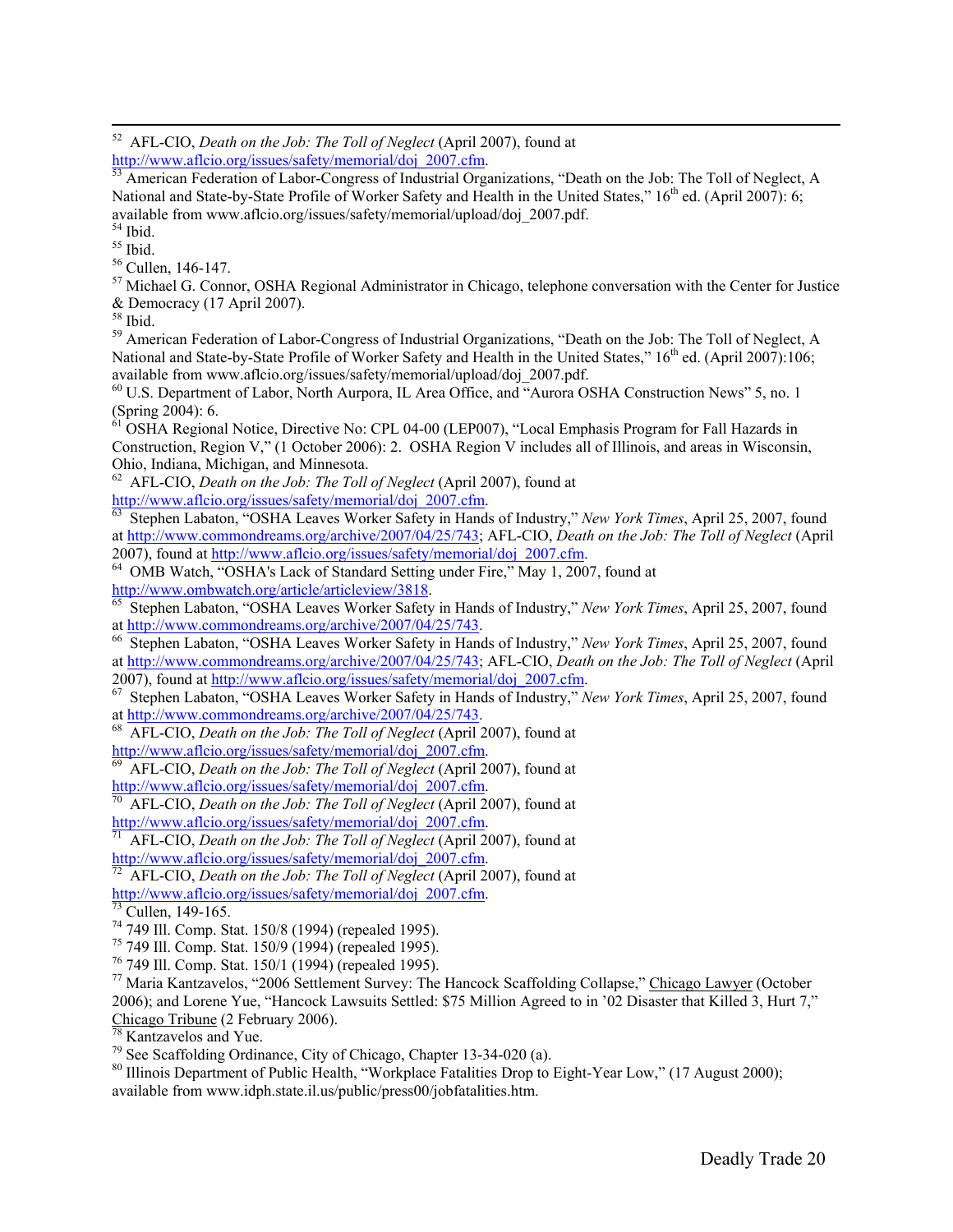<sup>54</sup> Ibid.<br><sup>55</sup> Ibid. <sup>56</sup> Cullen, 146-147.<br><sup>57</sup> Michael G. Connor, OSHA Regional Administrator in Chicago, telephone conversation with the Center for Justice & Democracy (17 April 2007).<br><sup>58</sup> Ibid.

<sup>59</sup> American Federation of Labor-Congress of Industrial Organizations, "Death on the Job: The Toll of Neglect, A National and State-by-State Profile of Worker Safety and Health in the United States," 16<sup>th</sup> ed. (April 2007):106;

available from www.aflcio.org/issues/safety/memorial/upload/doj\_2007.pdf.<br><sup>60</sup> U.S. Department of Labor, North Aurpora, IL Area Office, and "Aurora OSHA Construction News" 5, no. 1<br>(Spring 2004): 6.<br><sup>61</sup> OSHA Besisted Nati

OSHA Regional Notice, Directive No: CPL 04-00 (LEP007), "Local Emphasis Program for Fall Hazards in Construction, Region V," (1 October 2006): 2. OSHA Region V includes all of Illinois, and areas in Wisconsin,

Ohio, Indiana, Michigan, and Minnesota.<br><sup>62</sup> AFL-CIO, *Death on the Job: The Toll of Neglect* (April 2007), found at http://www.aflcio.org/issues/safety/memorial/doj 2007.cfm.

<sup>63</sup> Stephen Labaton, "OSHA Leaves Worker Safety in Hands of Industry," *New York Times*, April 25, 2007, found at http://www.commondreams.org/archive/2007/04/25/743; AFL-CIO, *Death on the Job: The Toll of Neglect* (April

<sup>64</sup> OMB Watch, "OSHA's Lack of Standard Setting under Fire," May 1, 2007, found at http://www.ombwatch.org/article/articleview/3818.

Stephen Labaton, "OSHA Leaves Worker Safety in Hands of Industry," *New York Times*, April 25, 2007, found at http://www.commondreams.org/archive/2007/04/25/743.<br><sup>66</sup> Stephen Labaton, "OSHA Leaves Worker Safety in Hands of Industry," *New York Times*, April 25, 2007, found

at http://www.commondreams.org/archive/2007/04/25/743; AFL-CIO, *Death on the Job: The Toll of Neglect* (April

2007), found at <u>http://www.aflcio.org/issues/safety/memorial/doj\_2007.cfm</u>.<br><sup>67</sup> Stephen Labaton, "OSHA Leaves Worker Safety in Hands of Industry," *New York Times*, April 25, 2007, found at http://www.commondreams.org/ar

<sup>68</sup> AFL-CIO, *Death on the Job: The Toll of Neglect* (April 2007), found at http://www.aflcio.org/issues/safety/memorial/doj 2007.cfm.

http://www.aflcio.org/issues/safety/memorial/doj\_2007.cfm. <sup>69</sup> AFL-CIO, *Death on the Job: The Toll of Neglect* (April 2007), found at

http://www.aflcio.org/issues/safety/memorial/doj\_2007.cfm.<br><sup>70</sup> AFL-CIO, *Death on the Job: The Toll of Neglect* (April 2007), found at http://www.aflcio.org/issues/safety/memorial/doj\_2007.cfm.

 $\frac{1}{71}$  AFL-CIO, *Death on the Job: The Toll of Neglect* (April 2007), found at http://www.aflcio.org/issues/safety/memorial/doj\_2007.cfm. <sup>72</sup> AFL-CIO, *Death on the Job: The Toll of Neglect* (April 2007), found at

http://www.aflcio.org/issues/safety/memorial/doj\_2007.cfm.<br>
<sup>74</sup> 749 Ill. Comp. Stat. 150/8 (1994) (repealed 1995).<br>
<sup>74</sup> 749 Ill. Comp. Stat. 150/9 (1994) (repealed 1995).<br>
<sup>76</sup> 749 Ill. Comp. Stat. 150/1 (1994) (repeale 2006); and Lorene Yue, "Hancock Lawsuits Settled: \$75 Million Agreed to in '02 Disaster that Killed 3, Hurt 7,"<br>Chicago Tribune (2 February 2006).

<sup>78</sup> Kantzavelos and Yue.<br><sup>79</sup> See Scaffolding Ordinance, City of Chicago, Chapter 13-34-020 (a).<br><sup>80</sup> Illinois Department of Public Health, "Workplace Fatalities Drop to Eight-Year Low," (17 August 2000); available from www.idph.state.il.us/public/press00/jobfatalities.htm.

<sup>52</sup> AFL-CIO, *Death on the Job: The Toll of Neglect* (April 2007), found at <br>
http://www.aflcio.org/issues/safety/memorial/doj\_2007.cfm.<br>
53 American Ecdenation of Labor Cinemate 11, 100

American Federation of Labor-Congress of Industrial Organizations, "Death on the Job: The Toll of Neglect, A National and State-by-State Profile of Worker Safety and Health in the United States," 16<sup>th</sup> ed. (April 2007): 6; available from www.aflcio.org/issues/safety/memorial/upload/doj 2007.pdf.